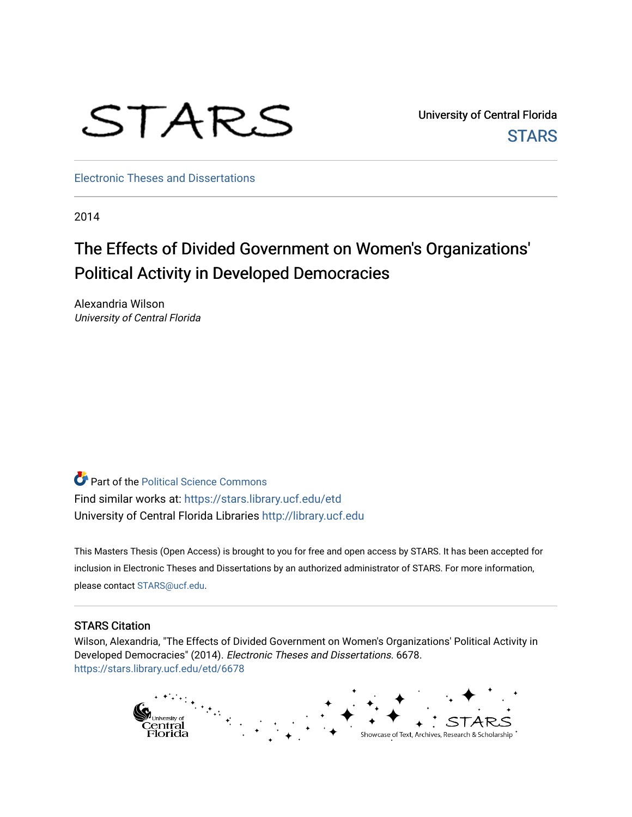# STARS

University of Central Florida **STARS** 

[Electronic Theses and Dissertations](https://stars.library.ucf.edu/etd)

2014

## The Effects of Divided Government on Women's Organizations' Political Activity in Developed Democracies

Alexandria Wilson University of Central Florida

**Part of the Political Science Commons** Find similar works at: <https://stars.library.ucf.edu/etd> University of Central Florida Libraries [http://library.ucf.edu](http://library.ucf.edu/) 

This Masters Thesis (Open Access) is brought to you for free and open access by STARS. It has been accepted for inclusion in Electronic Theses and Dissertations by an authorized administrator of STARS. For more information, please contact [STARS@ucf.edu](mailto:STARS@ucf.edu).

#### STARS Citation

Wilson, Alexandria, "The Effects of Divided Government on Women's Organizations' Political Activity in Developed Democracies" (2014). Electronic Theses and Dissertations. 6678. [https://stars.library.ucf.edu/etd/6678](https://stars.library.ucf.edu/etd/6678?utm_source=stars.library.ucf.edu%2Fetd%2F6678&utm_medium=PDF&utm_campaign=PDFCoverPages) 

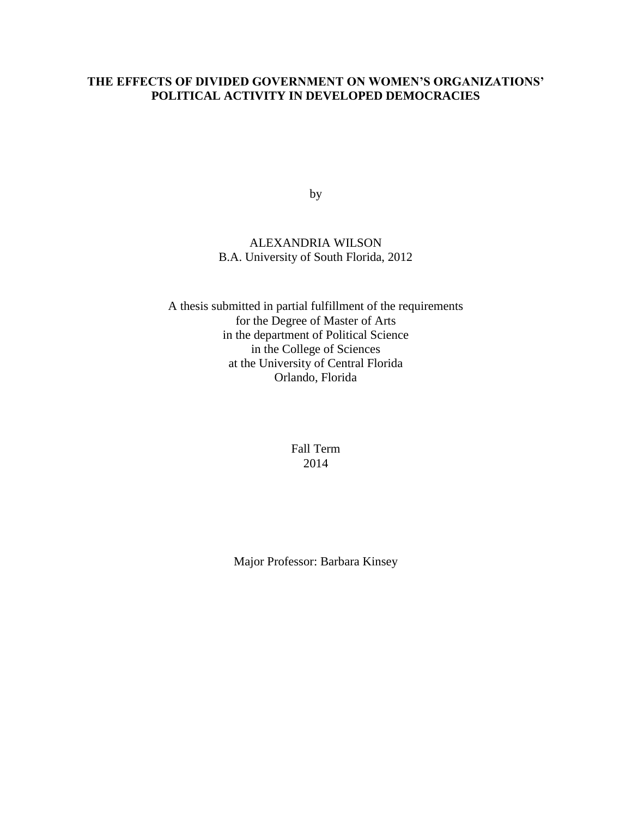## **THE EFFECTS OF DIVIDED GOVERNMENT ON WOMEN'S ORGANIZATIONS' POLITICAL ACTIVITY IN DEVELOPED DEMOCRACIES**

by

## ALEXANDRIA WILSON B.A. University of South Florida, 2012

A thesis submitted in partial fulfillment of the requirements for the Degree of Master of Arts in the department of Political Science in the College of Sciences at the University of Central Florida Orlando, Florida

> Fall Term 2014

Major Professor: Barbara Kinsey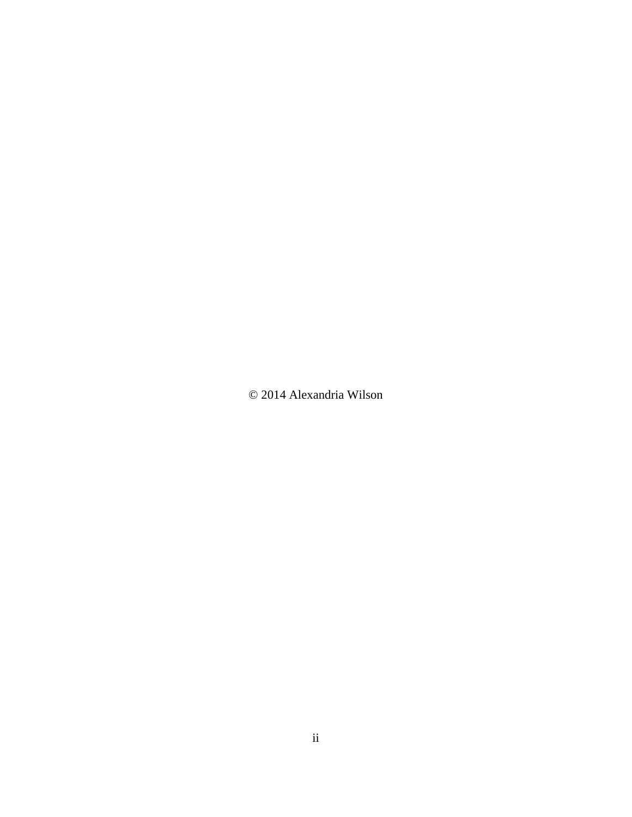© 2014 Alexandria Wilson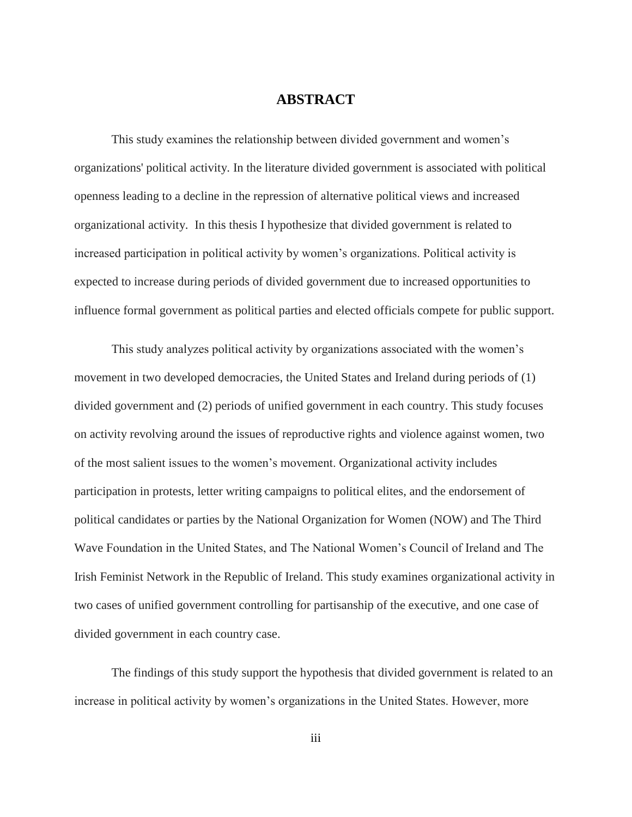## **ABSTRACT**

This study examines the relationship between divided government and women's organizations' political activity. In the literature divided government is associated with political openness leading to a decline in the repression of alternative political views and increased organizational activity. In this thesis I hypothesize that divided government is related to increased participation in political activity by women's organizations. Political activity is expected to increase during periods of divided government due to increased opportunities to influence formal government as political parties and elected officials compete for public support.

This study analyzes political activity by organizations associated with the women's movement in two developed democracies, the United States and Ireland during periods of (1) divided government and (2) periods of unified government in each country. This study focuses on activity revolving around the issues of reproductive rights and violence against women, two of the most salient issues to the women's movement. Organizational activity includes participation in protests, letter writing campaigns to political elites, and the endorsement of political candidates or parties by the National Organization for Women (NOW) and The Third Wave Foundation in the United States, and The National Women's Council of Ireland and The Irish Feminist Network in the Republic of Ireland. This study examines organizational activity in two cases of unified government controlling for partisanship of the executive, and one case of divided government in each country case.

The findings of this study support the hypothesis that divided government is related to an increase in political activity by women's organizations in the United States. However, more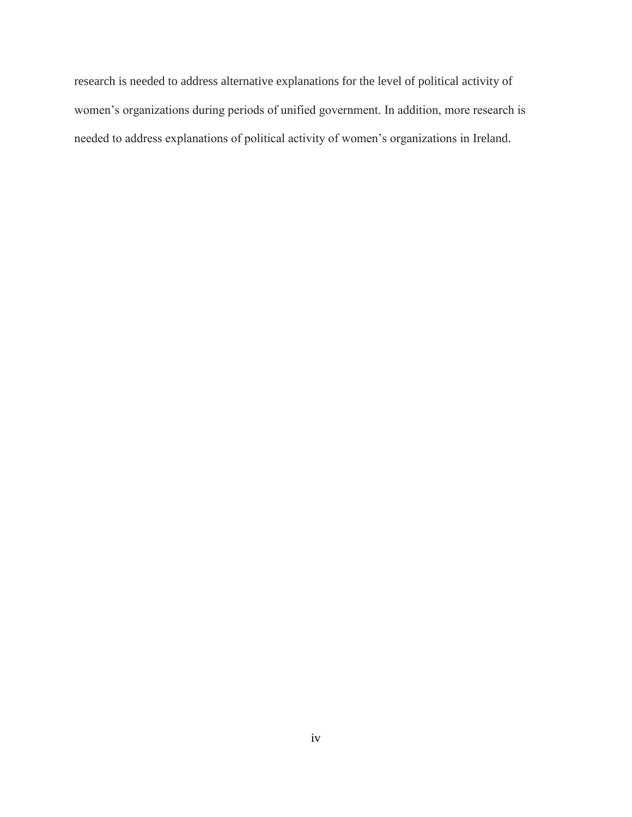research is needed to address alternative explanations for the level of political activity of women's organizations during periods of unified government. In addition, more research is needed to address explanations of political activity of women's organizations in Ireland.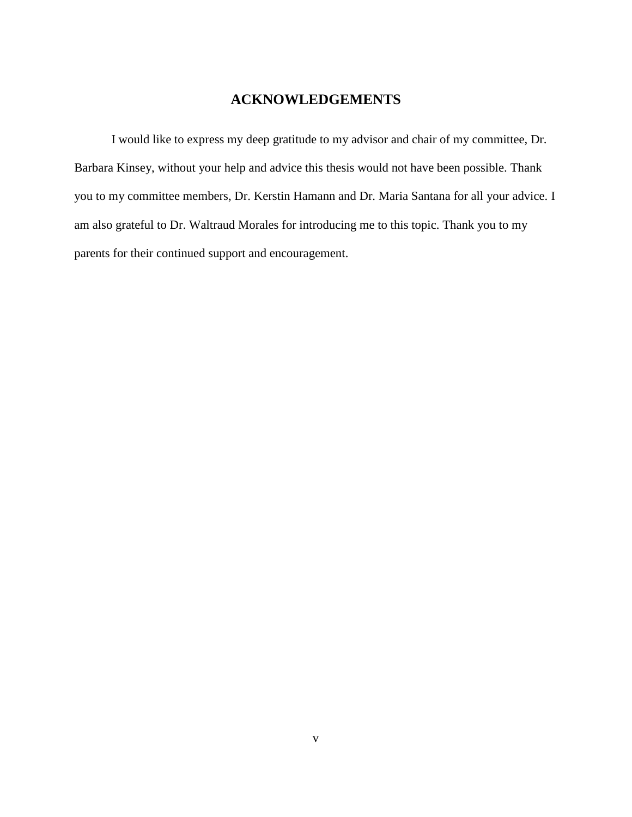## **ACKNOWLEDGEMENTS**

I would like to express my deep gratitude to my advisor and chair of my committee, Dr. Barbara Kinsey, without your help and advice this thesis would not have been possible. Thank you to my committee members, Dr. Kerstin Hamann and Dr. Maria Santana for all your advice. I am also grateful to Dr. Waltraud Morales for introducing me to this topic. Thank you to my parents for their continued support and encouragement.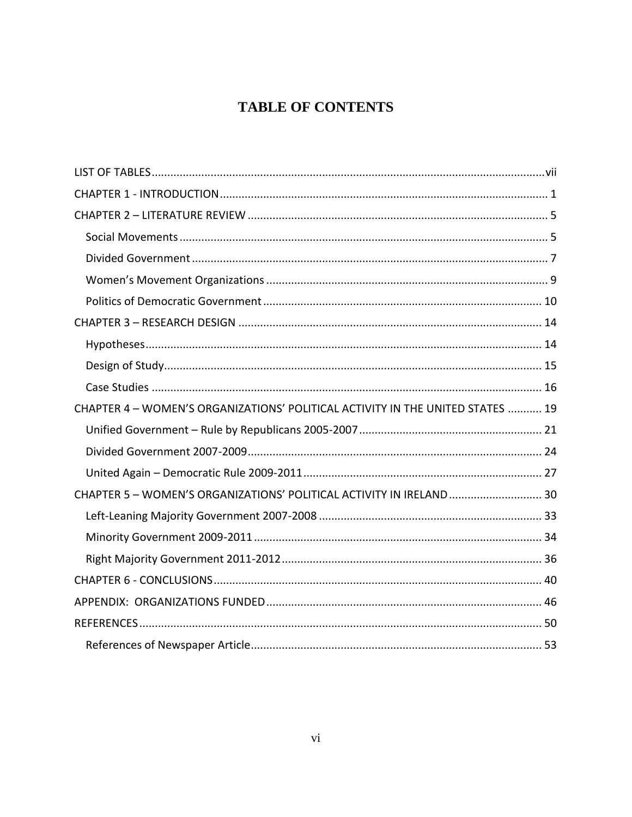## **TABLE OF CONTENTS**

| CHAPTER 4 - WOMEN'S ORGANIZATIONS' POLITICAL ACTIVITY IN THE UNITED STATES  19 |  |
|--------------------------------------------------------------------------------|--|
|                                                                                |  |
|                                                                                |  |
|                                                                                |  |
| CHAPTER 5 - WOMEN'S ORGANIZATIONS' POLITICAL ACTIVITY IN IRELAND 30            |  |
|                                                                                |  |
|                                                                                |  |
|                                                                                |  |
|                                                                                |  |
|                                                                                |  |
|                                                                                |  |
|                                                                                |  |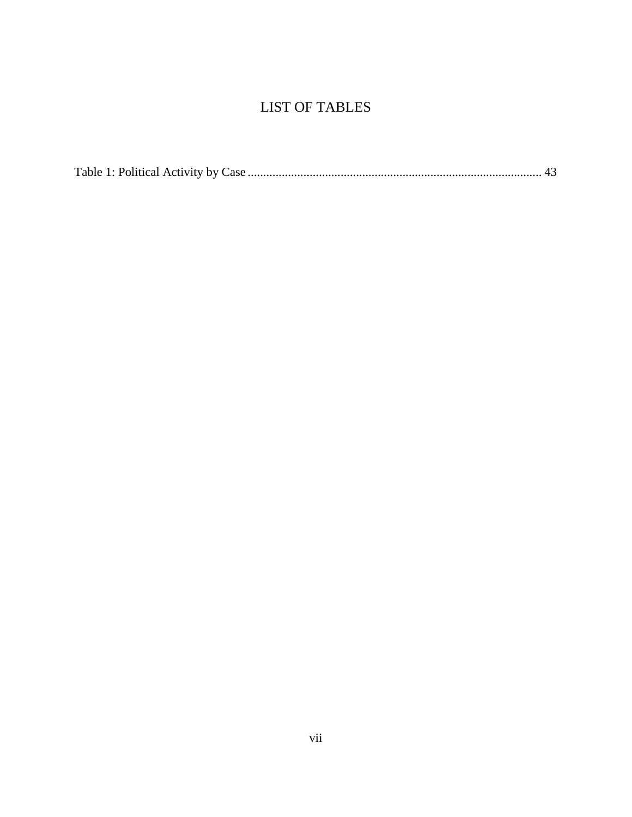## LIST OF TABLES

<span id="page-7-0"></span>

|--|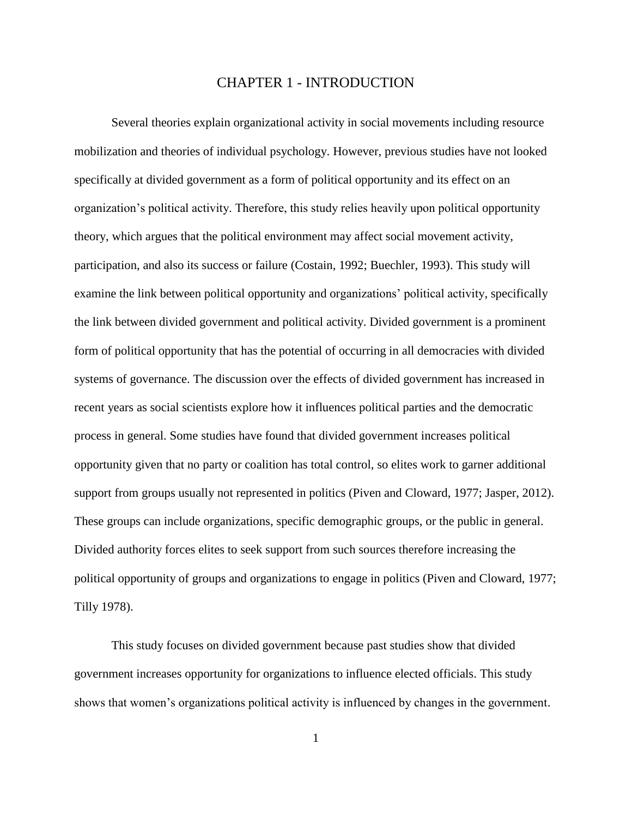## CHAPTER 1 - INTRODUCTION

<span id="page-8-0"></span>Several theories explain organizational activity in social movements including resource mobilization and theories of individual psychology. However, previous studies have not looked specifically at divided government as a form of political opportunity and its effect on an organization's political activity. Therefore, this study relies heavily upon political opportunity theory, which argues that the political environment may affect social movement activity, participation, and also its success or failure (Costain, 1992; Buechler, 1993). This study will examine the link between political opportunity and organizations' political activity, specifically the link between divided government and political activity. Divided government is a prominent form of political opportunity that has the potential of occurring in all democracies with divided systems of governance. The discussion over the effects of divided government has increased in recent years as social scientists explore how it influences political parties and the democratic process in general. Some studies have found that divided government increases political opportunity given that no party or coalition has total control, so elites work to garner additional support from groups usually not represented in politics (Piven and Cloward, 1977; Jasper, 2012). These groups can include organizations, specific demographic groups, or the public in general. Divided authority forces elites to seek support from such sources therefore increasing the political opportunity of groups and organizations to engage in politics (Piven and Cloward, 1977; Tilly 1978).

This study focuses on divided government because past studies show that divided government increases opportunity for organizations to influence elected officials. This study shows that women's organizations political activity is influenced by changes in the government.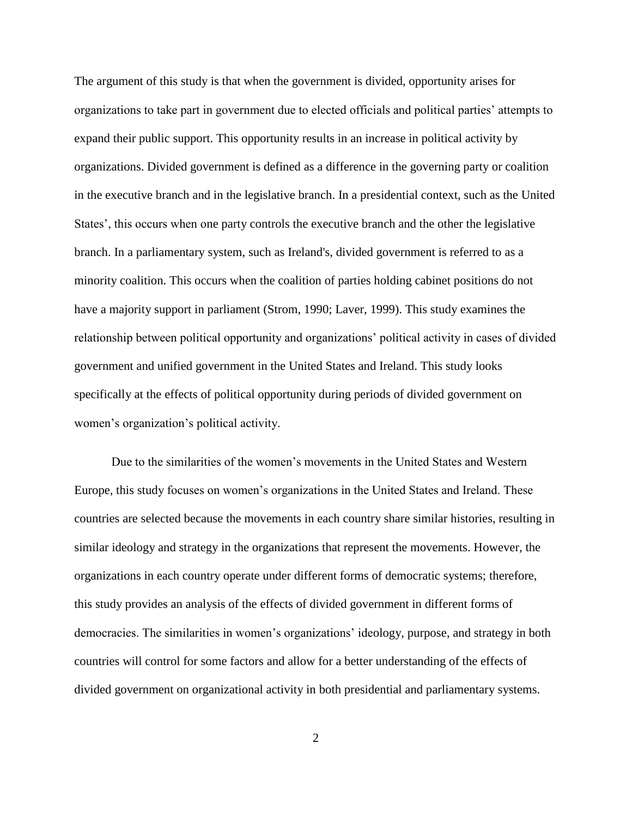The argument of this study is that when the government is divided, opportunity arises for organizations to take part in government due to elected officials and political parties' attempts to expand their public support. This opportunity results in an increase in political activity by organizations. Divided government is defined as a difference in the governing party or coalition in the executive branch and in the legislative branch. In a presidential context, such as the United States', this occurs when one party controls the executive branch and the other the legislative branch. In a parliamentary system, such as Ireland's, divided government is referred to as a minority coalition. This occurs when the coalition of parties holding cabinet positions do not have a majority support in parliament (Strom, 1990; Laver, 1999). This study examines the relationship between political opportunity and organizations' political activity in cases of divided government and unified government in the United States and Ireland. This study looks specifically at the effects of political opportunity during periods of divided government on women's organization's political activity.

Due to the similarities of the women's movements in the United States and Western Europe, this study focuses on women's organizations in the United States and Ireland. These countries are selected because the movements in each country share similar histories, resulting in similar ideology and strategy in the organizations that represent the movements. However, the organizations in each country operate under different forms of democratic systems; therefore, this study provides an analysis of the effects of divided government in different forms of democracies. The similarities in women's organizations' ideology, purpose, and strategy in both countries will control for some factors and allow for a better understanding of the effects of divided government on organizational activity in both presidential and parliamentary systems.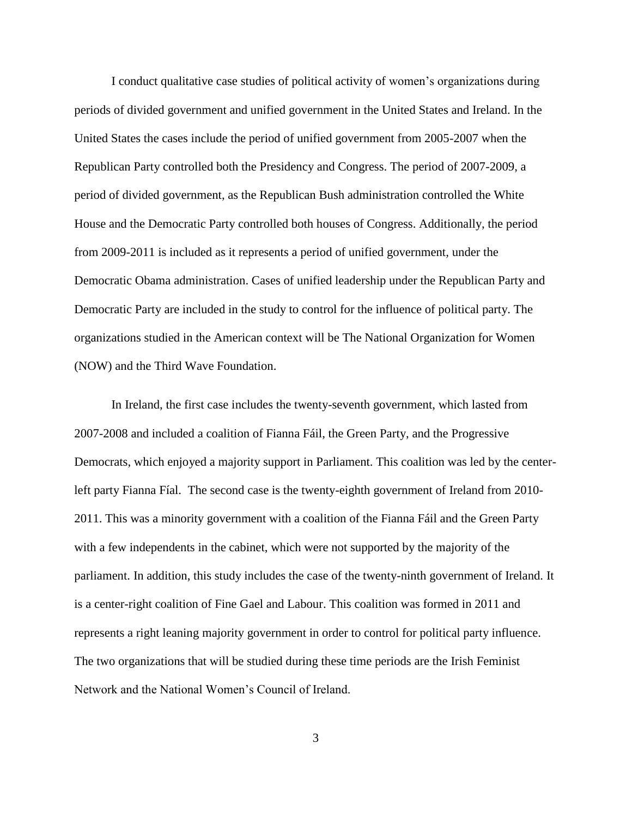I conduct qualitative case studies of political activity of women's organizations during periods of divided government and unified government in the United States and Ireland. In the United States the cases include the period of unified government from 2005-2007 when the Republican Party controlled both the Presidency and Congress. The period of 2007-2009, a period of divided government, as the Republican Bush administration controlled the White House and the Democratic Party controlled both houses of Congress. Additionally, the period from 2009-2011 is included as it represents a period of unified government, under the Democratic Obama administration. Cases of unified leadership under the Republican Party and Democratic Party are included in the study to control for the influence of political party. The organizations studied in the American context will be The National Organization for Women (NOW) and the Third Wave Foundation.

In Ireland, the first case includes the twenty-seventh government, which lasted from 2007-2008 and included a coalition of Fianna Fáil, the Green Party, and the Progressive Democrats, which enjoyed a majority support in Parliament. This coalition was led by the centerleft party Fianna Fíal. The second case is the twenty-eighth government of Ireland from 2010- 2011. This was a minority government with a coalition of the Fianna Fáil and the Green Party with a few independents in the cabinet, which were not supported by the majority of the parliament. In addition, this study includes the case of the twenty-ninth government of Ireland. It is a center-right coalition of Fine Gael and Labour. This coalition was formed in 2011 and represents a right leaning majority government in order to control for political party influence. The two organizations that will be studied during these time periods are the Irish Feminist Network and the National Women's Council of Ireland.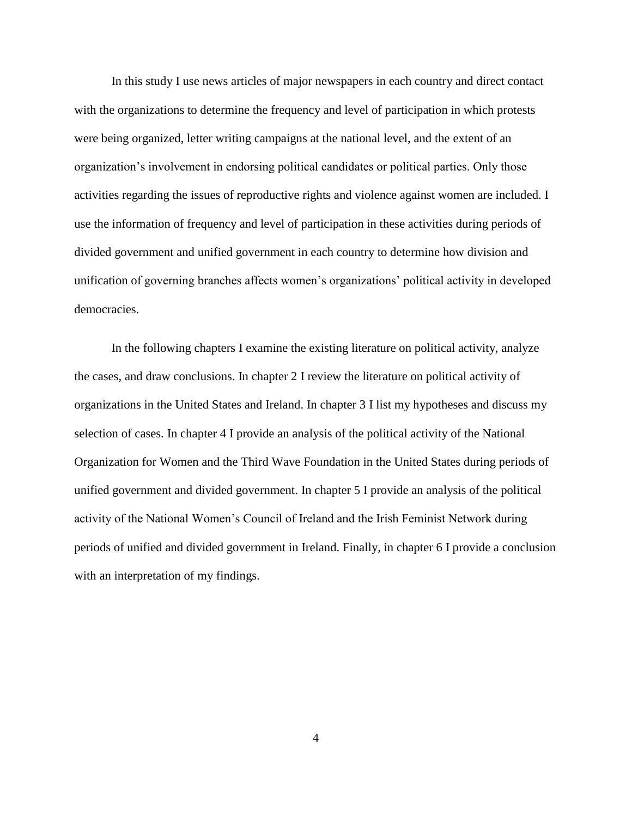In this study I use news articles of major newspapers in each country and direct contact with the organizations to determine the frequency and level of participation in which protests were being organized, letter writing campaigns at the national level, and the extent of an organization's involvement in endorsing political candidates or political parties. Only those activities regarding the issues of reproductive rights and violence against women are included. I use the information of frequency and level of participation in these activities during periods of divided government and unified government in each country to determine how division and unification of governing branches affects women's organizations' political activity in developed democracies.

In the following chapters I examine the existing literature on political activity, analyze the cases, and draw conclusions. In chapter 2 I review the literature on political activity of organizations in the United States and Ireland. In chapter 3 I list my hypotheses and discuss my selection of cases. In chapter 4 I provide an analysis of the political activity of the National Organization for Women and the Third Wave Foundation in the United States during periods of unified government and divided government. In chapter 5 I provide an analysis of the political activity of the National Women's Council of Ireland and the Irish Feminist Network during periods of unified and divided government in Ireland. Finally, in chapter 6 I provide a conclusion with an interpretation of my findings.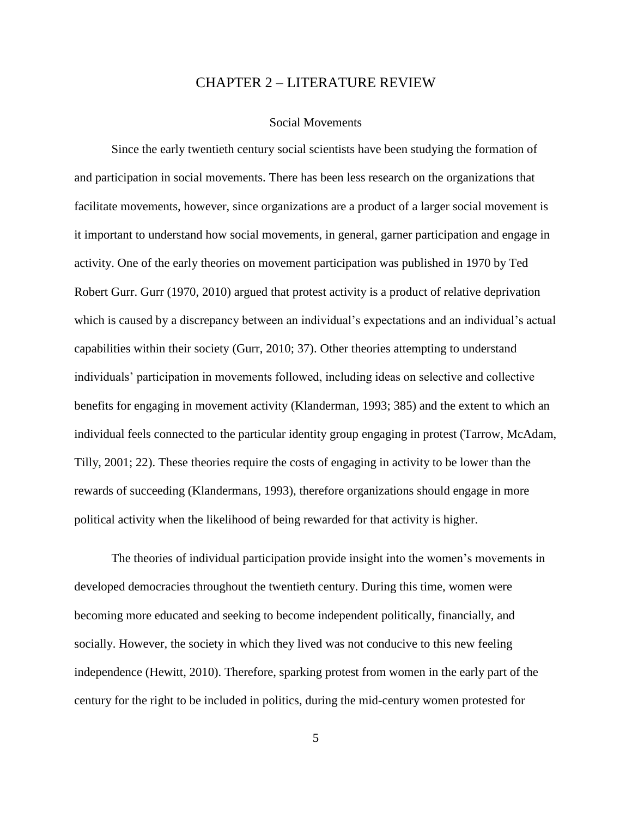## CHAPTER 2 – LITERATURE REVIEW

#### Social Movements

<span id="page-12-1"></span><span id="page-12-0"></span>Since the early twentieth century social scientists have been studying the formation of and participation in social movements. There has been less research on the organizations that facilitate movements, however, since organizations are a product of a larger social movement is it important to understand how social movements, in general, garner participation and engage in activity. One of the early theories on movement participation was published in 1970 by Ted Robert Gurr. Gurr (1970, 2010) argued that protest activity is a product of relative deprivation which is caused by a discrepancy between an individual's expectations and an individual's actual capabilities within their society (Gurr, 2010; 37). Other theories attempting to understand individuals' participation in movements followed, including ideas on selective and collective benefits for engaging in movement activity (Klanderman, 1993; 385) and the extent to which an individual feels connected to the particular identity group engaging in protest (Tarrow, McAdam, Tilly, 2001; 22). These theories require the costs of engaging in activity to be lower than the rewards of succeeding (Klandermans, 1993), therefore organizations should engage in more political activity when the likelihood of being rewarded for that activity is higher.

The theories of individual participation provide insight into the women's movements in developed democracies throughout the twentieth century. During this time, women were becoming more educated and seeking to become independent politically, financially, and socially. However, the society in which they lived was not conducive to this new feeling independence (Hewitt, 2010). Therefore, sparking protest from women in the early part of the century for the right to be included in politics, during the mid-century women protested for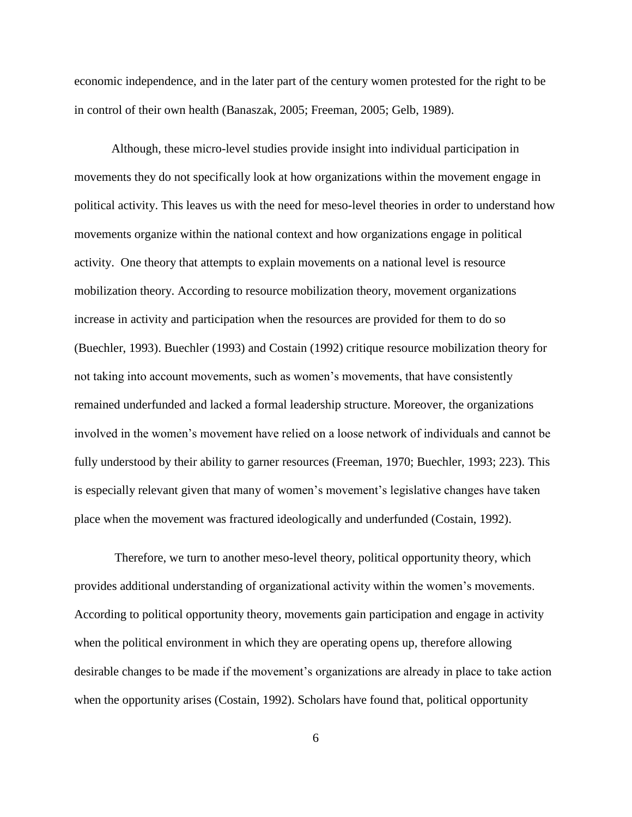economic independence, and in the later part of the century women protested for the right to be in control of their own health (Banaszak, 2005; Freeman, 2005; Gelb, 1989).

Although, these micro-level studies provide insight into individual participation in movements they do not specifically look at how organizations within the movement engage in political activity. This leaves us with the need for meso-level theories in order to understand how movements organize within the national context and how organizations engage in political activity. One theory that attempts to explain movements on a national level is resource mobilization theory. According to resource mobilization theory, movement organizations increase in activity and participation when the resources are provided for them to do so (Buechler, 1993). Buechler (1993) and Costain (1992) critique resource mobilization theory for not taking into account movements, such as women's movements, that have consistently remained underfunded and lacked a formal leadership structure. Moreover, the organizations involved in the women's movement have relied on a loose network of individuals and cannot be fully understood by their ability to garner resources (Freeman, 1970; Buechler, 1993; 223). This is especially relevant given that many of women's movement's legislative changes have taken place when the movement was fractured ideologically and underfunded (Costain, 1992).

Therefore, we turn to another meso-level theory, political opportunity theory, which provides additional understanding of organizational activity within the women's movements. According to political opportunity theory, movements gain participation and engage in activity when the political environment in which they are operating opens up, therefore allowing desirable changes to be made if the movement's organizations are already in place to take action when the opportunity arises (Costain, 1992). Scholars have found that, political opportunity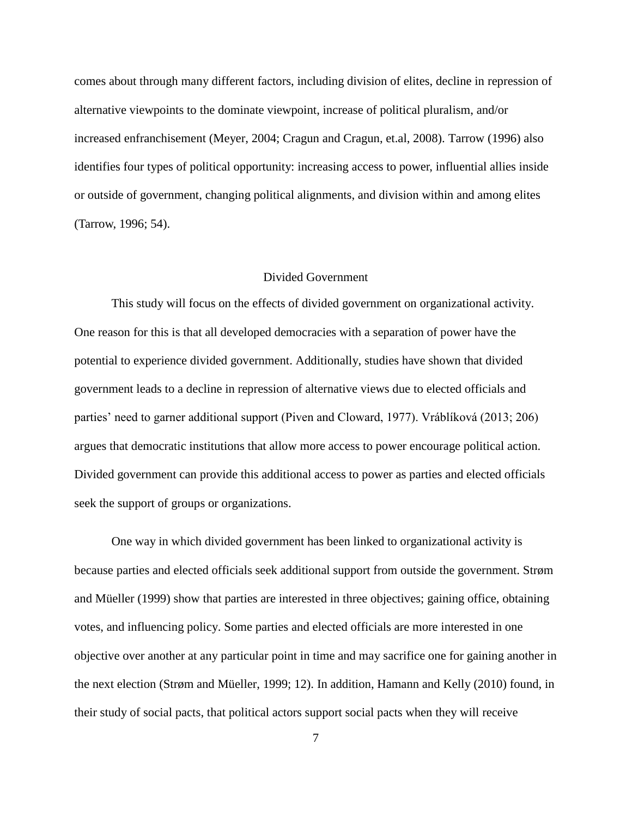comes about through many different factors, including division of elites, decline in repression of alternative viewpoints to the dominate viewpoint, increase of political pluralism, and/or increased enfranchisement (Meyer, 2004; Cragun and Cragun, et.al, 2008). Tarrow (1996) also identifies four types of political opportunity: increasing access to power, influential allies inside or outside of government, changing political alignments, and division within and among elites (Tarrow, 1996; 54).

#### Divided Government

<span id="page-14-0"></span>This study will focus on the effects of divided government on organizational activity. One reason for this is that all developed democracies with a separation of power have the potential to experience divided government. Additionally, studies have shown that divided government leads to a decline in repression of alternative views due to elected officials and parties' need to garner additional support (Piven and Cloward, 1977). Vráblíková (2013; 206) argues that democratic institutions that allow more access to power encourage political action. Divided government can provide this additional access to power as parties and elected officials seek the support of groups or organizations.

One way in which divided government has been linked to organizational activity is because parties and elected officials seek additional support from outside the government. Strøm and Müeller (1999) show that parties are interested in three objectives; gaining office, obtaining votes, and influencing policy. Some parties and elected officials are more interested in one objective over another at any particular point in time and may sacrifice one for gaining another in the next election (Strøm and Müeller, 1999; 12). In addition, Hamann and Kelly (2010) found, in their study of social pacts, that political actors support social pacts when they will receive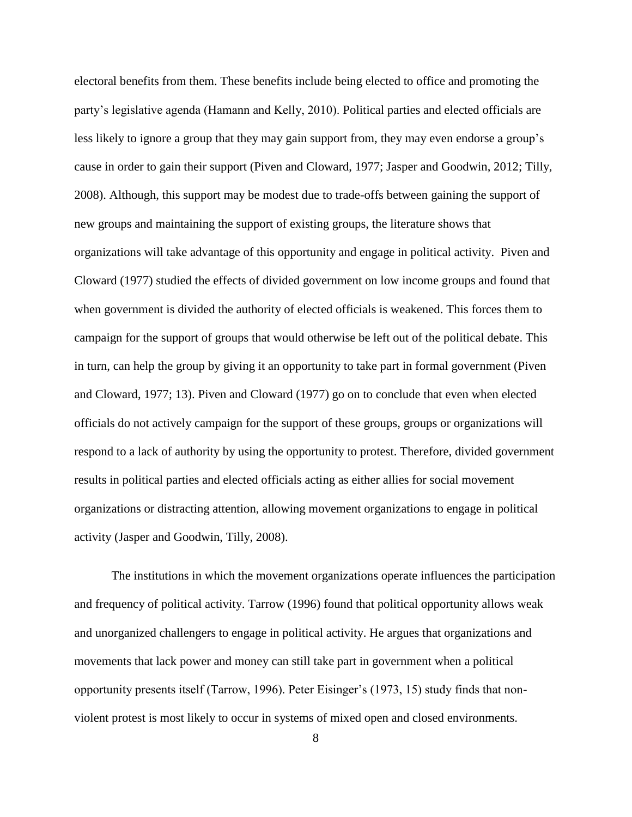electoral benefits from them. These benefits include being elected to office and promoting the party's legislative agenda (Hamann and Kelly, 2010). Political parties and elected officials are less likely to ignore a group that they may gain support from, they may even endorse a group's cause in order to gain their support (Piven and Cloward, 1977; Jasper and Goodwin, 2012; Tilly, 2008). Although, this support may be modest due to trade-offs between gaining the support of new groups and maintaining the support of existing groups, the literature shows that organizations will take advantage of this opportunity and engage in political activity. Piven and Cloward (1977) studied the effects of divided government on low income groups and found that when government is divided the authority of elected officials is weakened. This forces them to campaign for the support of groups that would otherwise be left out of the political debate. This in turn, can help the group by giving it an opportunity to take part in formal government (Piven and Cloward, 1977; 13). Piven and Cloward (1977) go on to conclude that even when elected officials do not actively campaign for the support of these groups, groups or organizations will respond to a lack of authority by using the opportunity to protest. Therefore, divided government results in political parties and elected officials acting as either allies for social movement organizations or distracting attention, allowing movement organizations to engage in political activity (Jasper and Goodwin, Tilly, 2008).

The institutions in which the movement organizations operate influences the participation and frequency of political activity. Tarrow (1996) found that political opportunity allows weak and unorganized challengers to engage in political activity. He argues that organizations and movements that lack power and money can still take part in government when a political opportunity presents itself (Tarrow, 1996). Peter Eisinger's (1973, 15) study finds that nonviolent protest is most likely to occur in systems of mixed open and closed environments.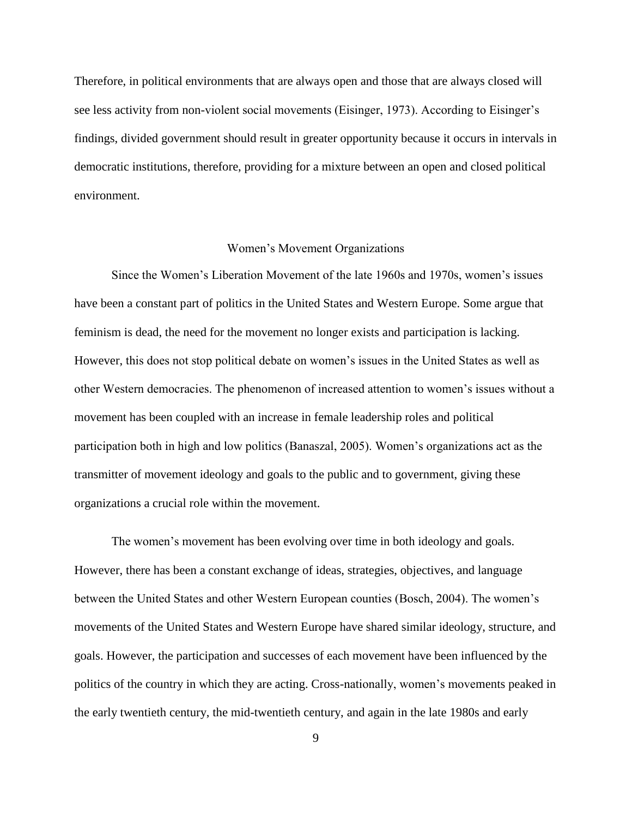Therefore, in political environments that are always open and those that are always closed will see less activity from non-violent social movements (Eisinger, 1973). According to Eisinger's findings, divided government should result in greater opportunity because it occurs in intervals in democratic institutions, therefore, providing for a mixture between an open and closed political environment.

#### Women's Movement Organizations

<span id="page-16-0"></span>Since the Women's Liberation Movement of the late 1960s and 1970s, women's issues have been a constant part of politics in the United States and Western Europe. Some argue that feminism is dead, the need for the movement no longer exists and participation is lacking. However, this does not stop political debate on women's issues in the United States as well as other Western democracies. The phenomenon of increased attention to women's issues without a movement has been coupled with an increase in female leadership roles and political participation both in high and low politics (Banaszal, 2005). Women's organizations act as the transmitter of movement ideology and goals to the public and to government, giving these organizations a crucial role within the movement.

The women's movement has been evolving over time in both ideology and goals. However, there has been a constant exchange of ideas, strategies, objectives, and language between the United States and other Western European counties (Bosch, 2004). The women's movements of the United States and Western Europe have shared similar ideology, structure, and goals. However, the participation and successes of each movement have been influenced by the politics of the country in which they are acting. Cross-nationally, women's movements peaked in the early twentieth century, the mid-twentieth century, and again in the late 1980s and early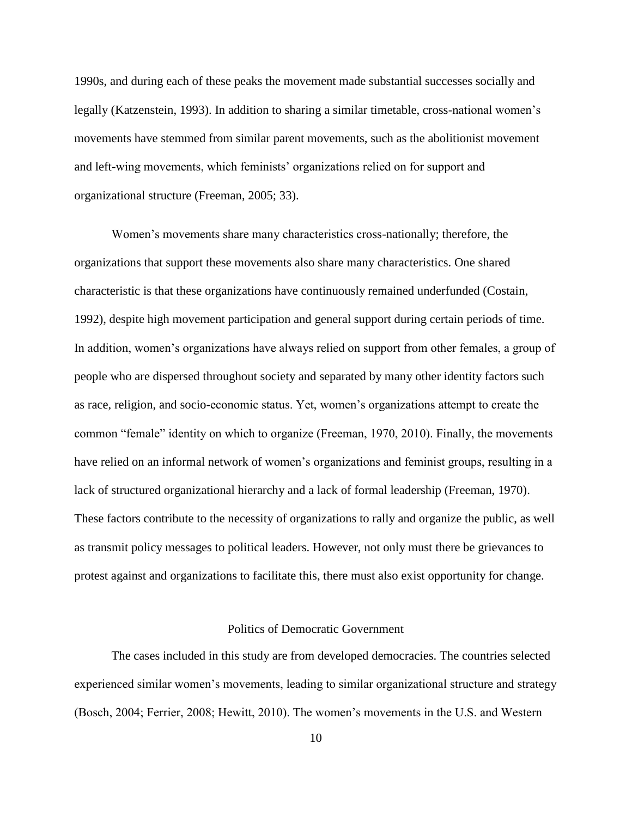1990s, and during each of these peaks the movement made substantial successes socially and legally (Katzenstein, 1993). In addition to sharing a similar timetable, cross-national women's movements have stemmed from similar parent movements, such as the abolitionist movement and left-wing movements, which feminists' organizations relied on for support and organizational structure (Freeman, 2005; 33).

Women's movements share many characteristics cross-nationally; therefore, the organizations that support these movements also share many characteristics. One shared characteristic is that these organizations have continuously remained underfunded (Costain, 1992), despite high movement participation and general support during certain periods of time. In addition, women's organizations have always relied on support from other females, a group of people who are dispersed throughout society and separated by many other identity factors such as race, religion, and socio-economic status. Yet, women's organizations attempt to create the common "female" identity on which to organize (Freeman, 1970, 2010). Finally, the movements have relied on an informal network of women's organizations and feminist groups, resulting in a lack of structured organizational hierarchy and a lack of formal leadership (Freeman, 1970). These factors contribute to the necessity of organizations to rally and organize the public, as well as transmit policy messages to political leaders. However, not only must there be grievances to protest against and organizations to facilitate this, there must also exist opportunity for change.

#### Politics of Democratic Government

<span id="page-17-0"></span>The cases included in this study are from developed democracies. The countries selected experienced similar women's movements, leading to similar organizational structure and strategy (Bosch, 2004; Ferrier, 2008; Hewitt, 2010). The women's movements in the U.S. and Western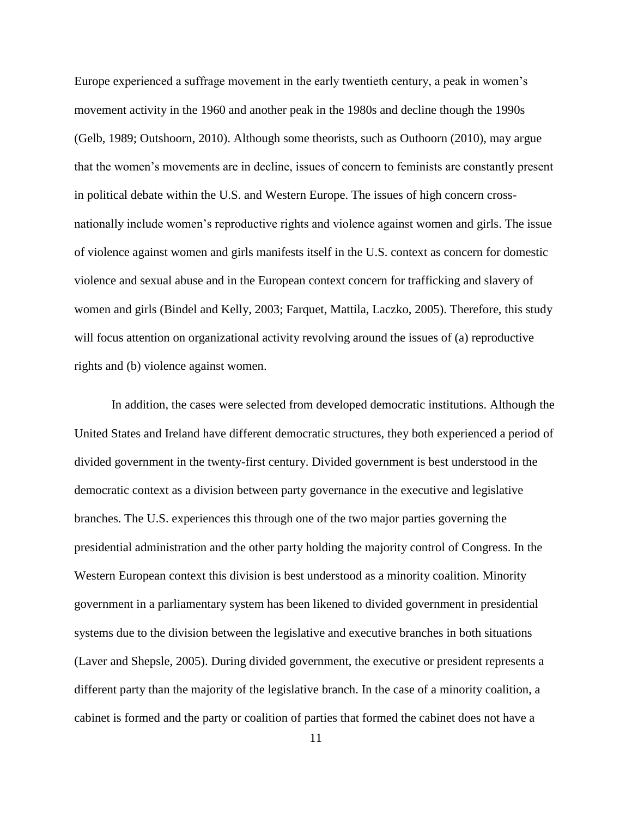Europe experienced a suffrage movement in the early twentieth century, a peak in women's movement activity in the 1960 and another peak in the 1980s and decline though the 1990s (Gelb, 1989; Outshoorn, 2010). Although some theorists, such as Outhoorn (2010), may argue that the women's movements are in decline, issues of concern to feminists are constantly present in political debate within the U.S. and Western Europe. The issues of high concern crossnationally include women's reproductive rights and violence against women and girls. The issue of violence against women and girls manifests itself in the U.S. context as concern for domestic violence and sexual abuse and in the European context concern for trafficking and slavery of women and girls (Bindel and Kelly, 2003; Farquet, Mattila, Laczko, 2005). Therefore, this study will focus attention on organizational activity revolving around the issues of (a) reproductive rights and (b) violence against women.

In addition, the cases were selected from developed democratic institutions. Although the United States and Ireland have different democratic structures, they both experienced a period of divided government in the twenty-first century. Divided government is best understood in the democratic context as a division between party governance in the executive and legislative branches. The U.S. experiences this through one of the two major parties governing the presidential administration and the other party holding the majority control of Congress. In the Western European context this division is best understood as a minority coalition. Minority government in a parliamentary system has been likened to divided government in presidential systems due to the division between the legislative and executive branches in both situations (Laver and Shepsle, 2005). During divided government, the executive or president represents a different party than the majority of the legislative branch. In the case of a minority coalition, a cabinet is formed and the party or coalition of parties that formed the cabinet does not have a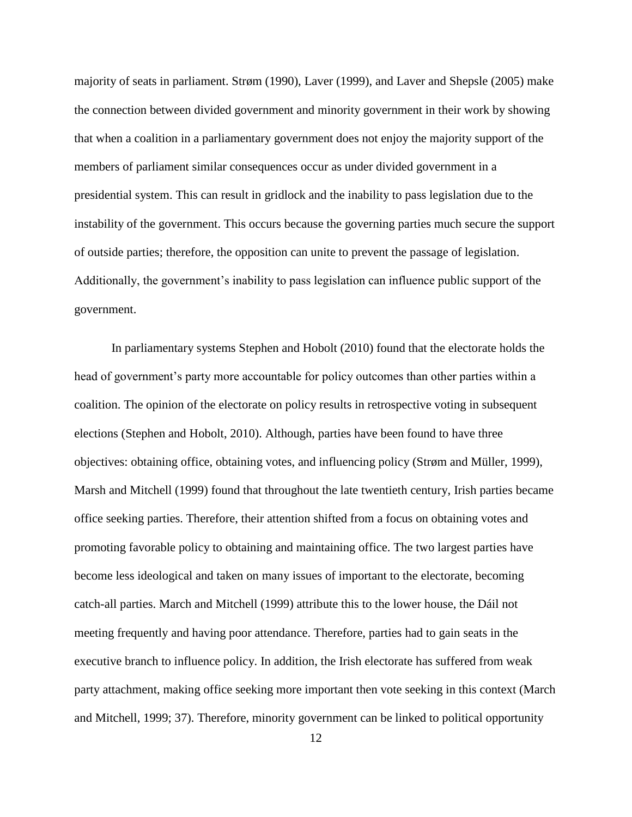majority of seats in parliament. Strøm (1990), Laver (1999), and Laver and Shepsle (2005) make the connection between divided government and minority government in their work by showing that when a coalition in a parliamentary government does not enjoy the majority support of the members of parliament similar consequences occur as under divided government in a presidential system. This can result in gridlock and the inability to pass legislation due to the instability of the government. This occurs because the governing parties much secure the support of outside parties; therefore, the opposition can unite to prevent the passage of legislation. Additionally, the government's inability to pass legislation can influence public support of the government.

In parliamentary systems Stephen and Hobolt (2010) found that the electorate holds the head of government's party more accountable for policy outcomes than other parties within a coalition. The opinion of the electorate on policy results in retrospective voting in subsequent elections (Stephen and Hobolt, 2010). Although, parties have been found to have three objectives: obtaining office, obtaining votes, and influencing policy (Strøm and Müller, 1999), Marsh and Mitchell (1999) found that throughout the late twentieth century, Irish parties became office seeking parties. Therefore, their attention shifted from a focus on obtaining votes and promoting favorable policy to obtaining and maintaining office. The two largest parties have become less ideological and taken on many issues of important to the electorate, becoming catch-all parties. March and Mitchell (1999) attribute this to the lower house, the Dáil not meeting frequently and having poor attendance. Therefore, parties had to gain seats in the executive branch to influence policy. In addition, the Irish electorate has suffered from weak party attachment, making office seeking more important then vote seeking in this context (March and Mitchell, 1999; 37). Therefore, minority government can be linked to political opportunity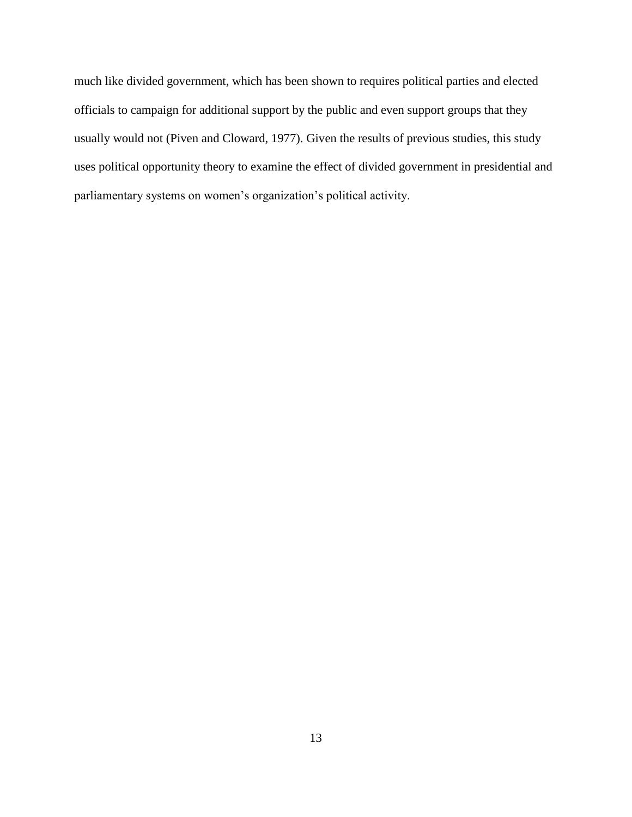much like divided government, which has been shown to requires political parties and elected officials to campaign for additional support by the public and even support groups that they usually would not (Piven and Cloward, 1977). Given the results of previous studies, this study uses political opportunity theory to examine the effect of divided government in presidential and parliamentary systems on women's organization's political activity.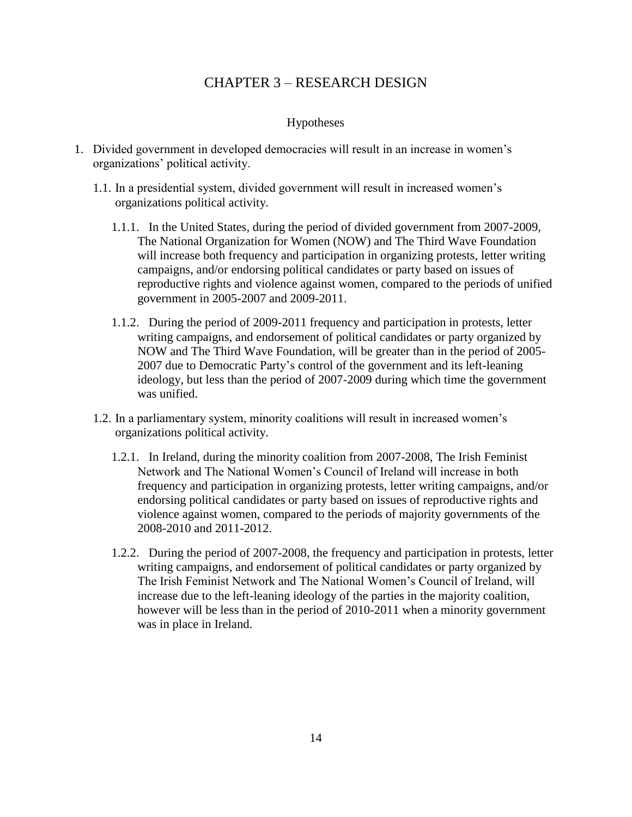## CHAPTER 3 – RESEARCH DESIGN

## Hypotheses

- <span id="page-21-1"></span><span id="page-21-0"></span>1. Divided government in developed democracies will result in an increase in women's organizations' political activity.
	- 1.1. In a presidential system, divided government will result in increased women's organizations political activity.
		- 1.1.1. In the United States, during the period of divided government from 2007-2009, The National Organization for Women (NOW) and The Third Wave Foundation will increase both frequency and participation in organizing protests, letter writing campaigns, and/or endorsing political candidates or party based on issues of reproductive rights and violence against women, compared to the periods of unified government in 2005-2007 and 2009-2011.
		- 1.1.2. During the period of 2009-2011 frequency and participation in protests, letter writing campaigns, and endorsement of political candidates or party organized by NOW and The Third Wave Foundation, will be greater than in the period of 2005- 2007 due to Democratic Party's control of the government and its left-leaning ideology, but less than the period of 2007-2009 during which time the government was unified.
	- 1.2. In a parliamentary system, minority coalitions will result in increased women's organizations political activity.
		- 1.2.1. In Ireland, during the minority coalition from 2007-2008, The Irish Feminist Network and The National Women's Council of Ireland will increase in both frequency and participation in organizing protests, letter writing campaigns, and/or endorsing political candidates or party based on issues of reproductive rights and violence against women, compared to the periods of majority governments of the 2008-2010 and 2011-2012.
		- 1.2.2. During the period of 2007-2008, the frequency and participation in protests, letter writing campaigns, and endorsement of political candidates or party organized by The Irish Feminist Network and The National Women's Council of Ireland, will increase due to the left-leaning ideology of the parties in the majority coalition, however will be less than in the period of 2010-2011 when a minority government was in place in Ireland.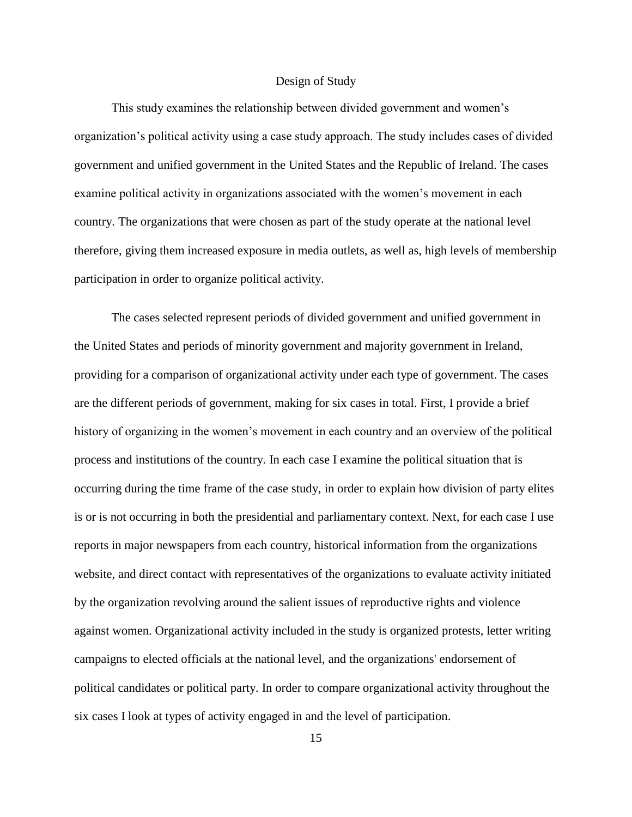#### Design of Study

<span id="page-22-0"></span>This study examines the relationship between divided government and women's organization's political activity using a case study approach. The study includes cases of divided government and unified government in the United States and the Republic of Ireland. The cases examine political activity in organizations associated with the women's movement in each country. The organizations that were chosen as part of the study operate at the national level therefore, giving them increased exposure in media outlets, as well as, high levels of membership participation in order to organize political activity.

The cases selected represent periods of divided government and unified government in the United States and periods of minority government and majority government in Ireland, providing for a comparison of organizational activity under each type of government. The cases are the different periods of government, making for six cases in total. First, I provide a brief history of organizing in the women's movement in each country and an overview of the political process and institutions of the country. In each case I examine the political situation that is occurring during the time frame of the case study, in order to explain how division of party elites is or is not occurring in both the presidential and parliamentary context. Next, for each case I use reports in major newspapers from each country, historical information from the organizations website, and direct contact with representatives of the organizations to evaluate activity initiated by the organization revolving around the salient issues of reproductive rights and violence against women. Organizational activity included in the study is organized protests, letter writing campaigns to elected officials at the national level, and the organizations' endorsement of political candidates or political party. In order to compare organizational activity throughout the six cases I look at types of activity engaged in and the level of participation.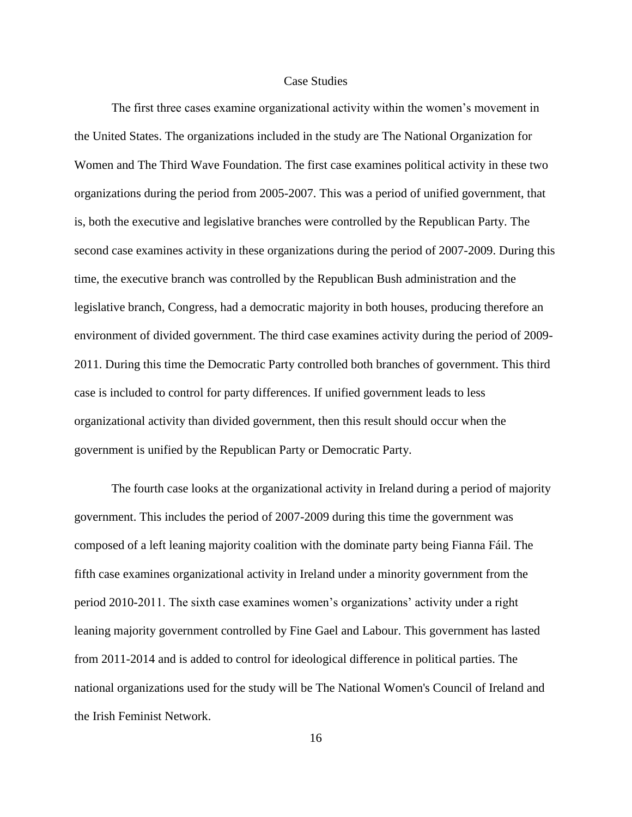#### Case Studies

<span id="page-23-0"></span>The first three cases examine organizational activity within the women's movement in the United States. The organizations included in the study are The National Organization for Women and The Third Wave Foundation. The first case examines political activity in these two organizations during the period from 2005-2007. This was a period of unified government, that is, both the executive and legislative branches were controlled by the Republican Party. The second case examines activity in these organizations during the period of 2007-2009. During this time, the executive branch was controlled by the Republican Bush administration and the legislative branch, Congress, had a democratic majority in both houses, producing therefore an environment of divided government. The third case examines activity during the period of 2009- 2011. During this time the Democratic Party controlled both branches of government. This third case is included to control for party differences. If unified government leads to less organizational activity than divided government, then this result should occur when the government is unified by the Republican Party or Democratic Party.

The fourth case looks at the organizational activity in Ireland during a period of majority government. This includes the period of 2007-2009 during this time the government was composed of a left leaning majority coalition with the dominate party being Fianna Fáil. The fifth case examines organizational activity in Ireland under a minority government from the period 2010-2011. The sixth case examines women's organizations' activity under a right leaning majority government controlled by Fine Gael and Labour. This government has lasted from 2011-2014 and is added to control for ideological difference in political parties. The national organizations used for the study will be The National Women's Council of Ireland and the Irish Feminist Network.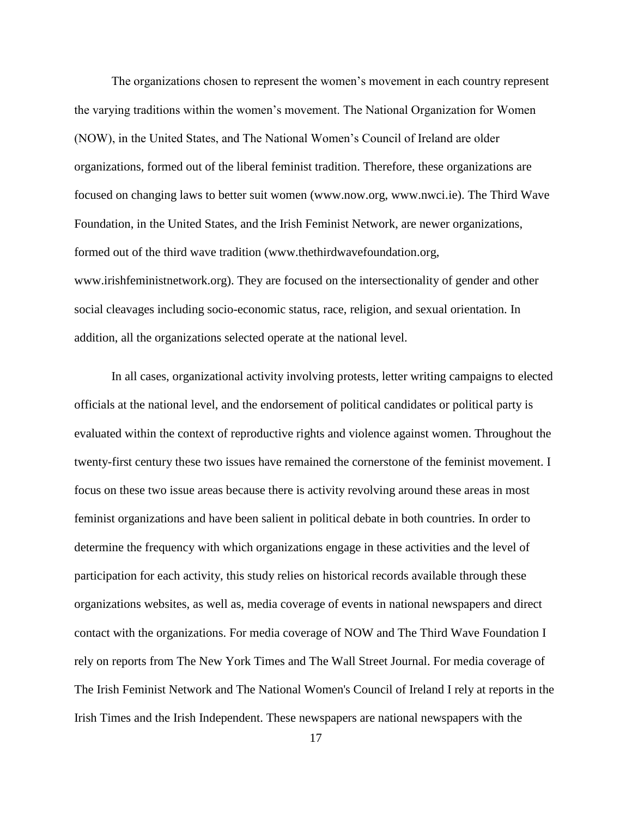The organizations chosen to represent the women's movement in each country represent the varying traditions within the women's movement. The National Organization for Women (NOW), in the United States, and The National Women's Council of Ireland are older organizations, formed out of the liberal feminist tradition. Therefore, these organizations are focused on changing laws to better suit women (www.now.org, www.nwci.ie). The Third Wave Foundation, in the United States, and the Irish Feminist Network, are newer organizations, formed out of the third wave tradition (www.thethirdwavefoundation.org, www.irishfeministnetwork.org). They are focused on the intersectionality of gender and other social cleavages including socio-economic status, race, religion, and sexual orientation. In addition, all the organizations selected operate at the national level.

In all cases, organizational activity involving protests, letter writing campaigns to elected officials at the national level, and the endorsement of political candidates or political party is evaluated within the context of reproductive rights and violence against women. Throughout the twenty-first century these two issues have remained the cornerstone of the feminist movement. I focus on these two issue areas because there is activity revolving around these areas in most feminist organizations and have been salient in political debate in both countries. In order to determine the frequency with which organizations engage in these activities and the level of participation for each activity, this study relies on historical records available through these organizations websites, as well as, media coverage of events in national newspapers and direct contact with the organizations. For media coverage of NOW and The Third Wave Foundation I rely on reports from The New York Times and The Wall Street Journal. For media coverage of The Irish Feminist Network and The National Women's Council of Ireland I rely at reports in the Irish Times and the Irish Independent. These newspapers are national newspapers with the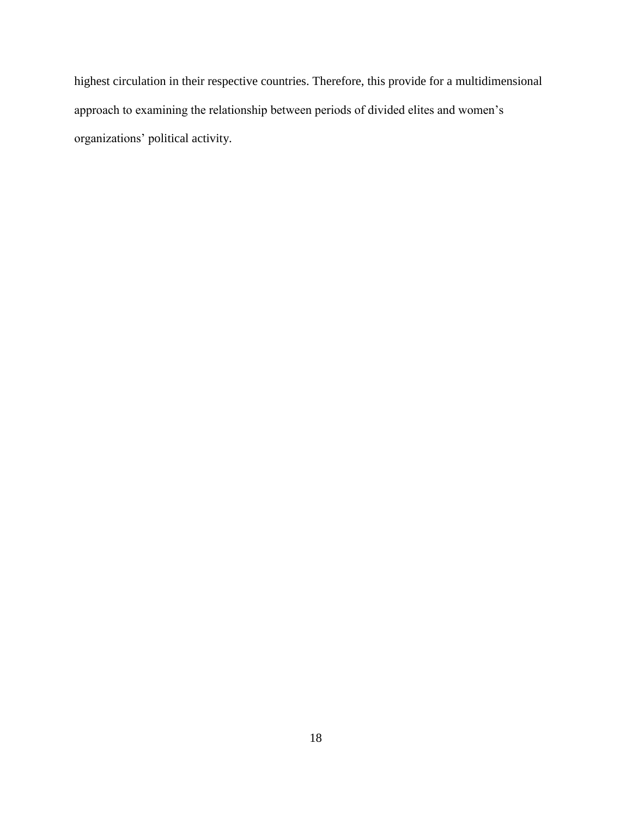highest circulation in their respective countries. Therefore, this provide for a multidimensional approach to examining the relationship between periods of divided elites and women's organizations' political activity.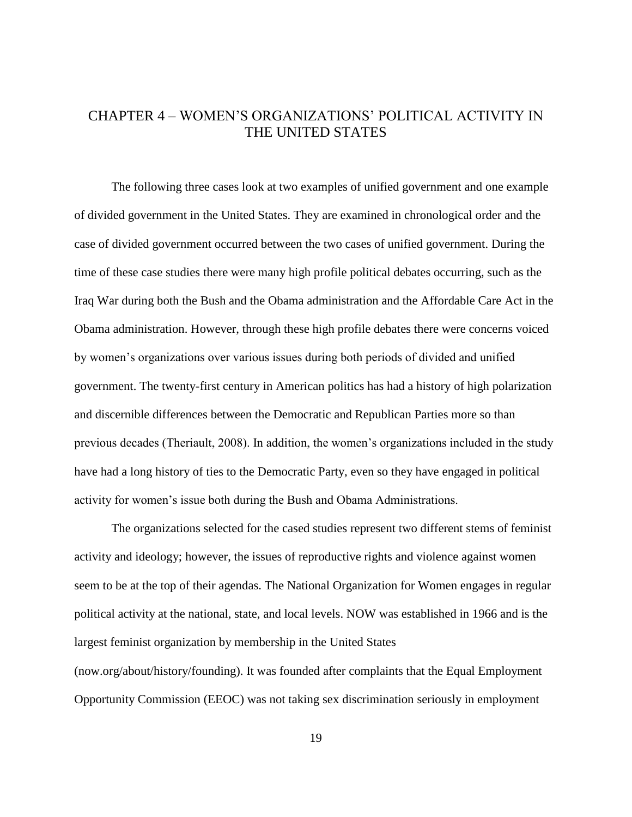## <span id="page-26-0"></span>CHAPTER 4 – WOMEN'S ORGANIZATIONS' POLITICAL ACTIVITY IN THE UNITED STATES

The following three cases look at two examples of unified government and one example of divided government in the United States. They are examined in chronological order and the case of divided government occurred between the two cases of unified government. During the time of these case studies there were many high profile political debates occurring, such as the Iraq War during both the Bush and the Obama administration and the Affordable Care Act in the Obama administration. However, through these high profile debates there were concerns voiced by women's organizations over various issues during both periods of divided and unified government. The twenty-first century in American politics has had a history of high polarization and discernible differences between the Democratic and Republican Parties more so than previous decades (Theriault, 2008). In addition, the women's organizations included in the study have had a long history of ties to the Democratic Party, even so they have engaged in political activity for women's issue both during the Bush and Obama Administrations.

The organizations selected for the cased studies represent two different stems of feminist activity and ideology; however, the issues of reproductive rights and violence against women seem to be at the top of their agendas. The National Organization for Women engages in regular political activity at the national, state, and local levels. NOW was established in 1966 and is the largest feminist organization by membership in the United States (now.org/about/history/founding). It was founded after complaints that the Equal Employment

Opportunity Commission (EEOC) was not taking sex discrimination seriously in employment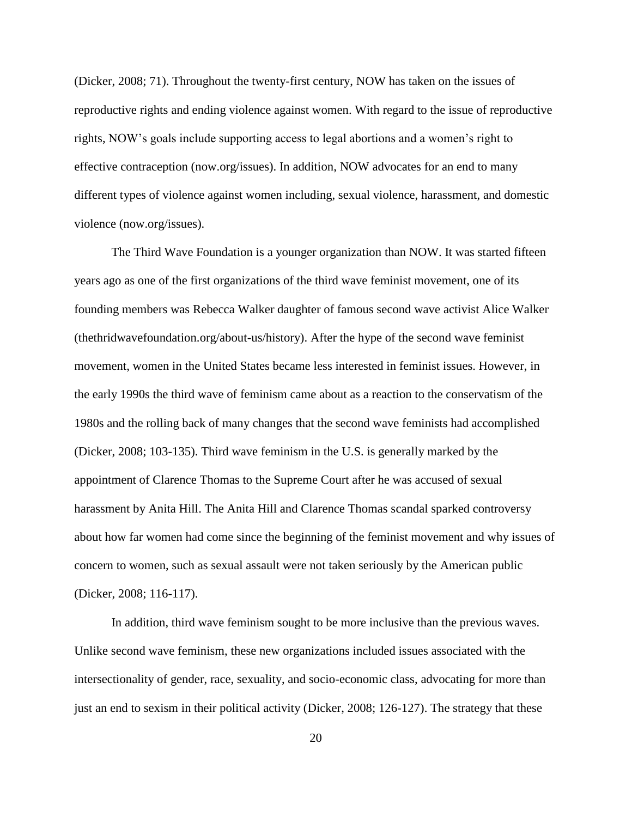(Dicker, 2008; 71). Throughout the twenty-first century, NOW has taken on the issues of reproductive rights and ending violence against women. With regard to the issue of reproductive rights, NOW's goals include supporting access to legal abortions and a women's right to effective contraception (now.org/issues). In addition, NOW advocates for an end to many different types of violence against women including, sexual violence, harassment, and domestic violence (now.org/issues).

The Third Wave Foundation is a younger organization than NOW. It was started fifteen years ago as one of the first organizations of the third wave feminist movement, one of its founding members was Rebecca Walker daughter of famous second wave activist Alice Walker (thethridwavefoundation.org/about-us/history). After the hype of the second wave feminist movement, women in the United States became less interested in feminist issues. However, in the early 1990s the third wave of feminism came about as a reaction to the conservatism of the 1980s and the rolling back of many changes that the second wave feminists had accomplished (Dicker, 2008; 103-135). Third wave feminism in the U.S. is generally marked by the appointment of Clarence Thomas to the Supreme Court after he was accused of sexual harassment by Anita Hill. The Anita Hill and Clarence Thomas scandal sparked controversy about how far women had come since the beginning of the feminist movement and why issues of concern to women, such as sexual assault were not taken seriously by the American public (Dicker, 2008; 116-117).

In addition, third wave feminism sought to be more inclusive than the previous waves. Unlike second wave feminism, these new organizations included issues associated with the intersectionality of gender, race, sexuality, and socio-economic class, advocating for more than just an end to sexism in their political activity (Dicker, 2008; 126-127). The strategy that these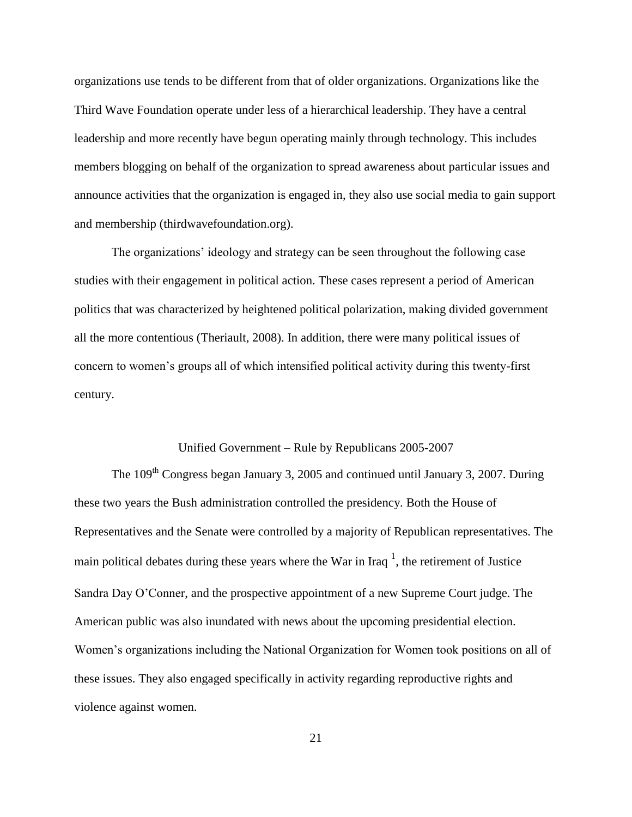organizations use tends to be different from that of older organizations. Organizations like the Third Wave Foundation operate under less of a hierarchical leadership. They have a central leadership and more recently have begun operating mainly through technology. This includes members blogging on behalf of the organization to spread awareness about particular issues and announce activities that the organization is engaged in, they also use social media to gain support and membership (thirdwavefoundation.org).

The organizations' ideology and strategy can be seen throughout the following case studies with their engagement in political action. These cases represent a period of American politics that was characterized by heightened political polarization, making divided government all the more contentious (Theriault, 2008). In addition, there were many political issues of concern to women's groups all of which intensified political activity during this twenty-first century.

## Unified Government – Rule by Republicans 2005-2007

<span id="page-28-0"></span>The  $109<sup>th</sup>$  Congress began January 3, 2005 and continued until January 3, 2007. During these two years the Bush administration controlled the presidency. Both the House of Representatives and the Senate were controlled by a majority of Republican representatives. The main political debates during these years where the War in Iraq  $^1$ , the retirement of Justice Sandra Day O'Conner, and the prospective appointment of a new Supreme Court judge. The American public was also inundated with news about the upcoming presidential election. Women's organizations including the National Organization for Women took positions on all of these issues. They also engaged specifically in activity regarding reproductive rights and violence against women.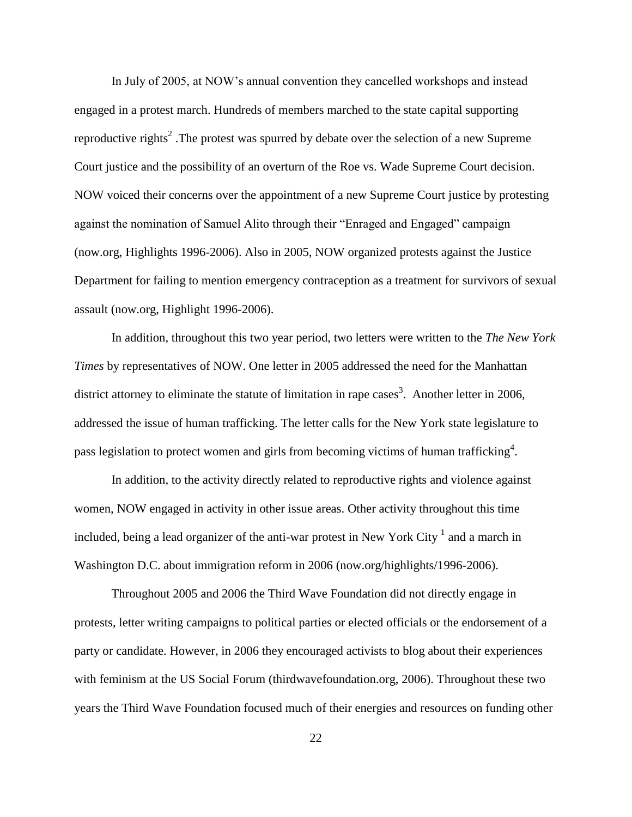In July of 2005, at NOW's annual convention they cancelled workshops and instead engaged in a protest march. Hundreds of members marched to the state capital supporting reproductive rights<sup>2</sup>. The protest was spurred by debate over the selection of a new Supreme Court justice and the possibility of an overturn of the Roe vs. Wade Supreme Court decision. NOW voiced their concerns over the appointment of a new Supreme Court justice by protesting against the nomination of Samuel Alito through their "Enraged and Engaged" campaign (now.org, Highlights 1996-2006). Also in 2005, NOW organized protests against the Justice Department for failing to mention emergency contraception as a treatment for survivors of sexual assault (now.org, Highlight 1996-2006).

In addition, throughout this two year period, two letters were written to the *The New York Times* by representatives of NOW. One letter in 2005 addressed the need for the Manhattan district attorney to eliminate the statute of limitation in rape cases<sup>3</sup>. Another letter in 2006, addressed the issue of human trafficking. The letter calls for the New York state legislature to pass legislation to protect women and girls from becoming victims of human trafficking<sup>4</sup>.

In addition, to the activity directly related to reproductive rights and violence against women, NOW engaged in activity in other issue areas. Other activity throughout this time included, being a lead organizer of the anti-war protest in New York City  $^1$  and a march in Washington D.C. about immigration reform in 2006 (now.org/highlights/1996-2006).

Throughout 2005 and 2006 the Third Wave Foundation did not directly engage in protests, letter writing campaigns to political parties or elected officials or the endorsement of a party or candidate. However, in 2006 they encouraged activists to blog about their experiences with feminism at the US Social Forum (thirdwavefoundation.org, 2006). Throughout these two years the Third Wave Foundation focused much of their energies and resources on funding other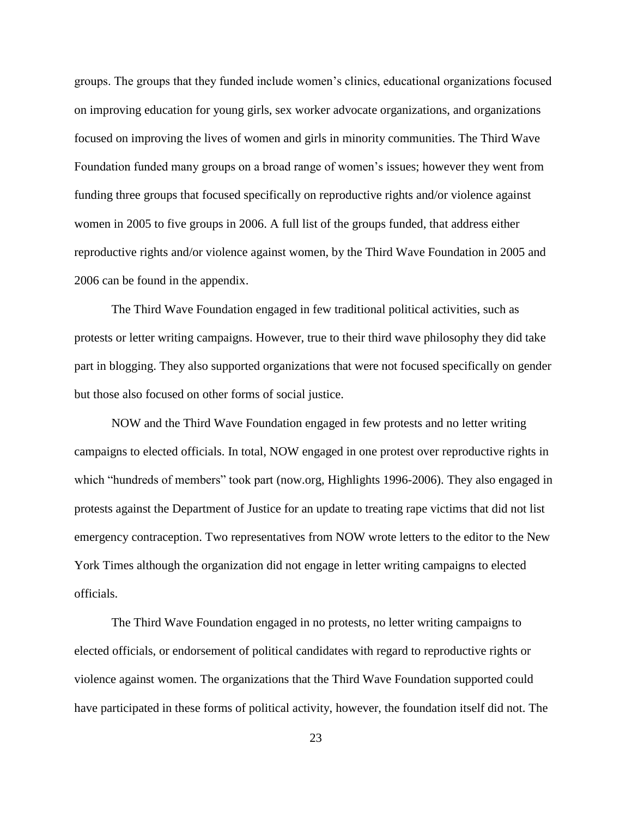groups. The groups that they funded include women's clinics, educational organizations focused on improving education for young girls, sex worker advocate organizations, and organizations focused on improving the lives of women and girls in minority communities. The Third Wave Foundation funded many groups on a broad range of women's issues; however they went from funding three groups that focused specifically on reproductive rights and/or violence against women in 2005 to five groups in 2006. A full list of the groups funded, that address either reproductive rights and/or violence against women, by the Third Wave Foundation in 2005 and 2006 can be found in the appendix.

The Third Wave Foundation engaged in few traditional political activities, such as protests or letter writing campaigns. However, true to their third wave philosophy they did take part in blogging. They also supported organizations that were not focused specifically on gender but those also focused on other forms of social justice.

NOW and the Third Wave Foundation engaged in few protests and no letter writing campaigns to elected officials. In total, NOW engaged in one protest over reproductive rights in which "hundreds of members" took part (now.org, Highlights 1996-2006). They also engaged in protests against the Department of Justice for an update to treating rape victims that did not list emergency contraception. Two representatives from NOW wrote letters to the editor to the New York Times although the organization did not engage in letter writing campaigns to elected officials.

The Third Wave Foundation engaged in no protests, no letter writing campaigns to elected officials, or endorsement of political candidates with regard to reproductive rights or violence against women. The organizations that the Third Wave Foundation supported could have participated in these forms of political activity, however, the foundation itself did not. The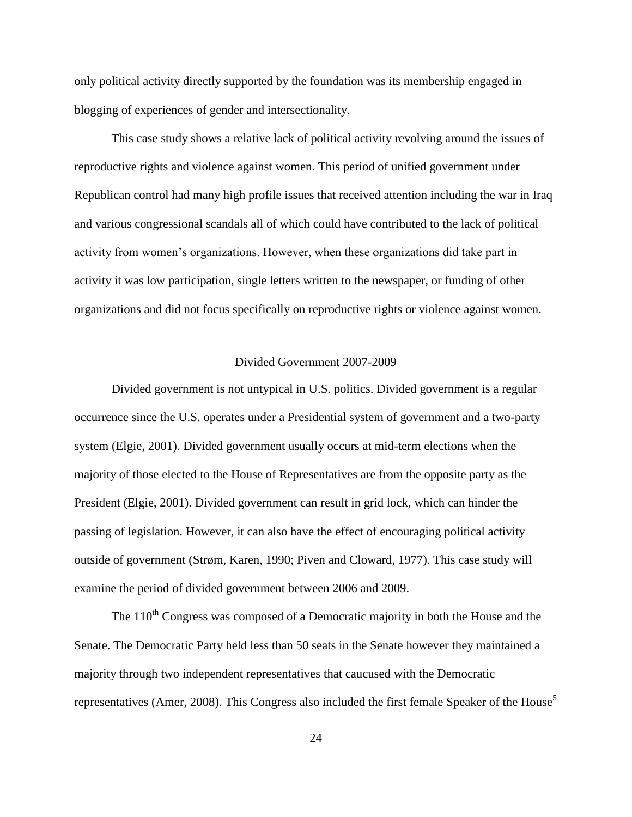only political activity directly supported by the foundation was its membership engaged in blogging of experiences of gender and intersectionality.

This case study shows a relative lack of political activity revolving around the issues of reproductive rights and violence against women. This period of unified government under Republican control had many high profile issues that received attention including the war in Iraq and various congressional scandals all of which could have contributed to the lack of political activity from women's organizations. However, when these organizations did take part in activity it was low participation, single letters written to the newspaper, or funding of other organizations and did not focus specifically on reproductive rights or violence against women.

#### Divided Government 2007-2009

<span id="page-31-0"></span>Divided government is not untypical in U.S. politics. Divided government is a regular occurrence since the U.S. operates under a Presidential system of government and a two-party system (Elgie, 2001). Divided government usually occurs at mid-term elections when the majority of those elected to the House of Representatives are from the opposite party as the President (Elgie, 2001). Divided government can result in grid lock, which can hinder the passing of legislation. However, it can also have the effect of encouraging political activity outside of government (Strøm, Karen, 1990; Piven and Cloward, 1977). This case study will examine the period of divided government between 2006 and 2009.

The  $110<sup>th</sup>$  Congress was composed of a Democratic majority in both the House and the Senate. The Democratic Party held less than 50 seats in the Senate however they maintained a majority through two independent representatives that caucused with the Democratic representatives (Amer, 2008). This Congress also included the first female Speaker of the House<sup>5</sup>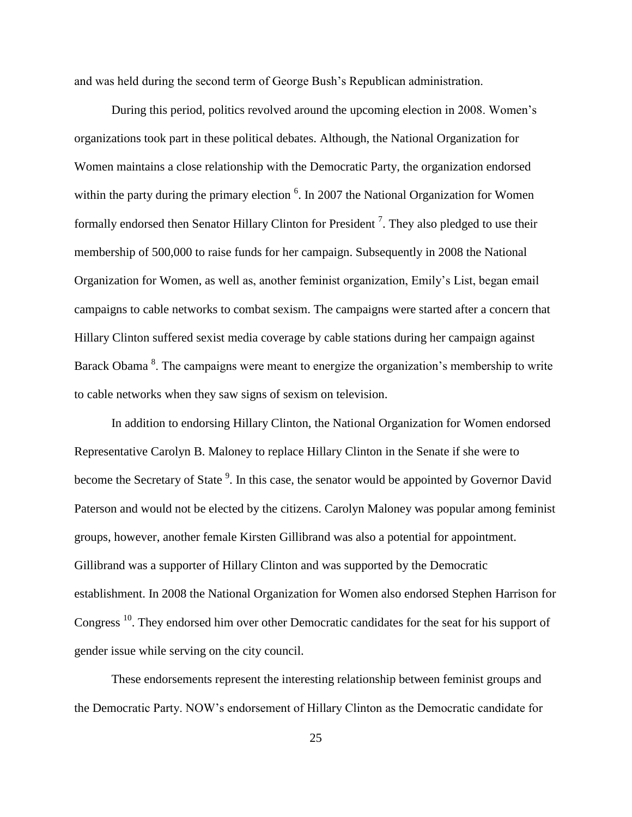and was held during the second term of George Bush's Republican administration.

During this period, politics revolved around the upcoming election in 2008. Women's organizations took part in these political debates. Although, the National Organization for Women maintains a close relationship with the Democratic Party, the organization endorsed within the party during the primary election  $6$ . In 2007 the National Organization for Women formally endorsed then Senator Hillary Clinton for President<sup>7</sup>. They also pledged to use their membership of 500,000 to raise funds for her campaign. Subsequently in 2008 the National Organization for Women, as well as, another feminist organization, Emily's List, began email campaigns to cable networks to combat sexism. The campaigns were started after a concern that Hillary Clinton suffered sexist media coverage by cable stations during her campaign against Barack Obama<sup>8</sup>. The campaigns were meant to energize the organization's membership to write to cable networks when they saw signs of sexism on television.

In addition to endorsing Hillary Clinton, the National Organization for Women endorsed Representative Carolyn B. Maloney to replace Hillary Clinton in the Senate if she were to become the Secretary of State<sup>9</sup>. In this case, the senator would be appointed by Governor David Paterson and would not be elected by the citizens. Carolyn Maloney was popular among feminist groups, however, another female Kirsten Gillibrand was also a potential for appointment. Gillibrand was a supporter of Hillary Clinton and was supported by the Democratic establishment. In 2008 the National Organization for Women also endorsed Stephen Harrison for Congress<sup>10</sup>. They endorsed him over other Democratic candidates for the seat for his support of gender issue while serving on the city council.

These endorsements represent the interesting relationship between feminist groups and the Democratic Party. NOW's endorsement of Hillary Clinton as the Democratic candidate for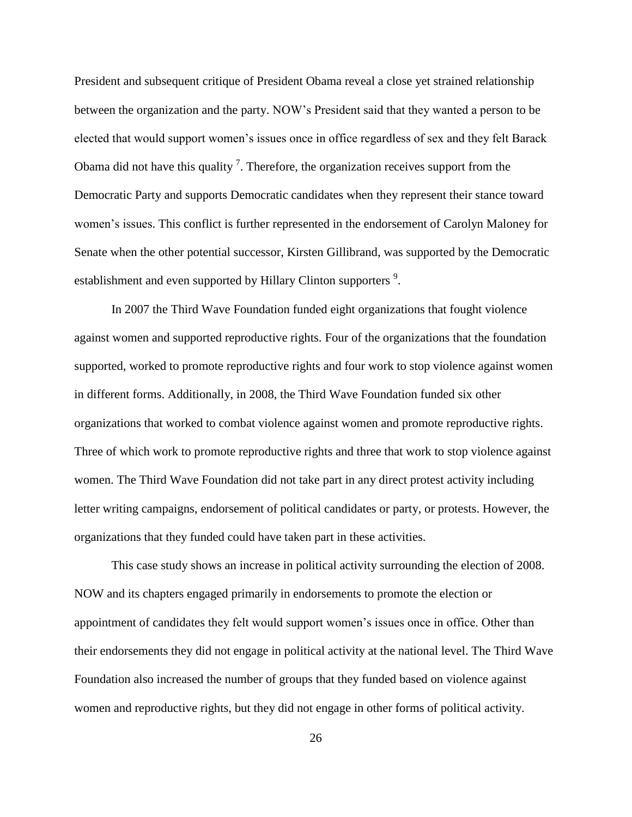President and subsequent critique of President Obama reveal a close yet strained relationship between the organization and the party. NOW's President said that they wanted a person to be elected that would support women's issues once in office regardless of sex and they felt Barack Obama did not have this quality  $<sup>7</sup>$ . Therefore, the organization receives support from the</sup> Democratic Party and supports Democratic candidates when they represent their stance toward women's issues. This conflict is further represented in the endorsement of Carolyn Maloney for Senate when the other potential successor, Kirsten Gillibrand, was supported by the Democratic establishment and even supported by Hillary Clinton supporters <sup>9</sup>.

In 2007 the Third Wave Foundation funded eight organizations that fought violence against women and supported reproductive rights. Four of the organizations that the foundation supported, worked to promote reproductive rights and four work to stop violence against women in different forms. Additionally, in 2008, the Third Wave Foundation funded six other organizations that worked to combat violence against women and promote reproductive rights. Three of which work to promote reproductive rights and three that work to stop violence against women. The Third Wave Foundation did not take part in any direct protest activity including letter writing campaigns, endorsement of political candidates or party, or protests. However, the organizations that they funded could have taken part in these activities.

This case study shows an increase in political activity surrounding the election of 2008. NOW and its chapters engaged primarily in endorsements to promote the election or appointment of candidates they felt would support women's issues once in office. Other than their endorsements they did not engage in political activity at the national level. The Third Wave Foundation also increased the number of groups that they funded based on violence against women and reproductive rights, but they did not engage in other forms of political activity.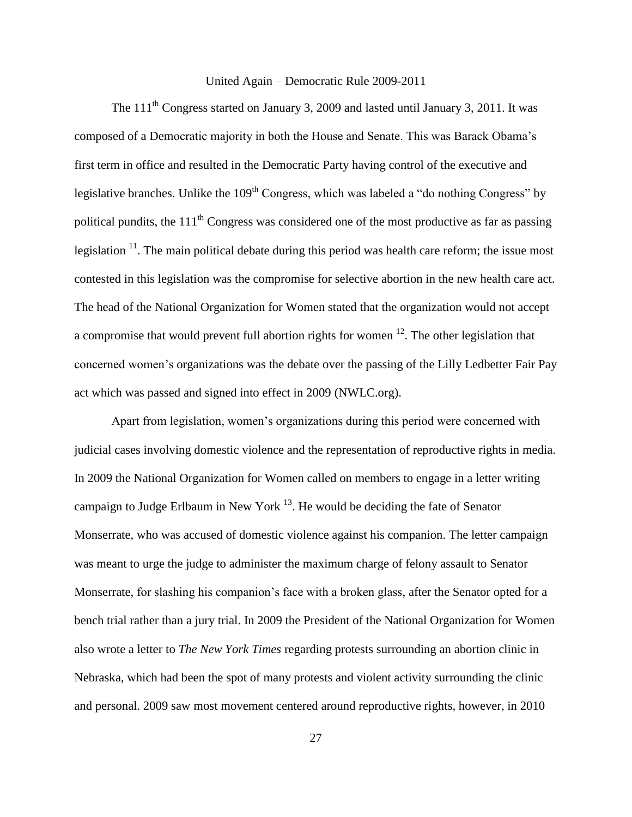## United Again – Democratic Rule 2009-2011

<span id="page-34-0"></span>The 111<sup>th</sup> Congress started on January 3, 2009 and lasted until January 3, 2011. It was composed of a Democratic majority in both the House and Senate. This was Barack Obama's first term in office and resulted in the Democratic Party having control of the executive and legislative branches. Unlike the  $109<sup>th</sup>$  Congress, which was labeled a "do nothing Congress" by political pundits, the  $111<sup>th</sup>$  Congress was considered one of the most productive as far as passing legislation  $11$ . The main political debate during this period was health care reform; the issue most contested in this legislation was the compromise for selective abortion in the new health care act. The head of the National Organization for Women stated that the organization would not accept a compromise that would prevent full abortion rights for women  $12$ . The other legislation that concerned women's organizations was the debate over the passing of the Lilly Ledbetter Fair Pay act which was passed and signed into effect in 2009 (NWLC.org).

Apart from legislation, women's organizations during this period were concerned with judicial cases involving domestic violence and the representation of reproductive rights in media. In 2009 the National Organization for Women called on members to engage in a letter writing campaign to Judge Erlbaum in New York  $^{13}$ . He would be deciding the fate of Senator Monserrate, who was accused of domestic violence against his companion. The letter campaign was meant to urge the judge to administer the maximum charge of felony assault to Senator Monserrate, for slashing his companion's face with a broken glass, after the Senator opted for a bench trial rather than a jury trial. In 2009 the President of the National Organization for Women also wrote a letter to *The New York Times* regarding protests surrounding an abortion clinic in Nebraska, which had been the spot of many protests and violent activity surrounding the clinic and personal. 2009 saw most movement centered around reproductive rights, however, in 2010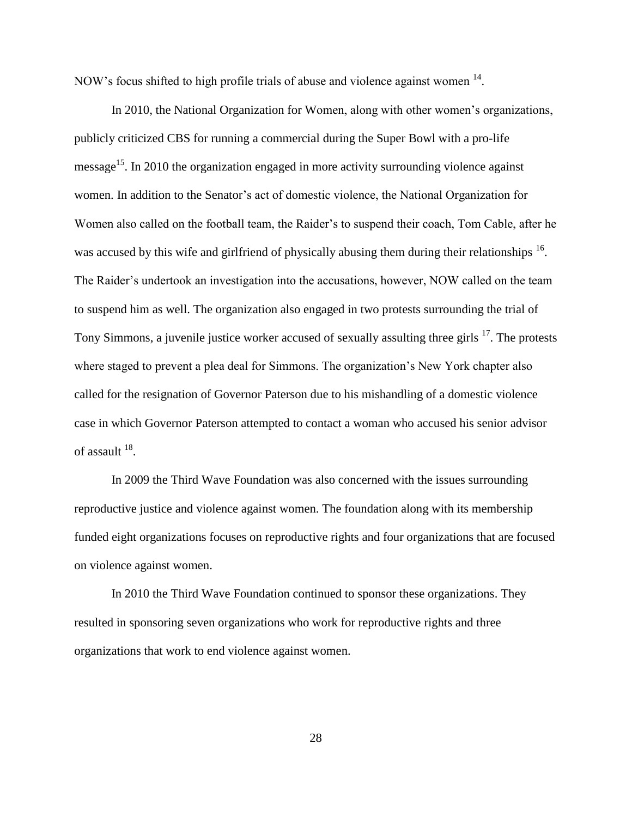NOW's focus shifted to high profile trials of abuse and violence against women  $14$ .

In 2010, the National Organization for Women, along with other women's organizations, publicly criticized CBS for running a commercial during the Super Bowl with a pro-life message<sup>15</sup>. In 2010 the organization engaged in more activity surrounding violence against women. In addition to the Senator's act of domestic violence, the National Organization for Women also called on the football team, the Raider's to suspend their coach, Tom Cable, after he was accused by this wife and girlfriend of physically abusing them during their relationships  $16$ . The Raider's undertook an investigation into the accusations, however, NOW called on the team to suspend him as well. The organization also engaged in two protests surrounding the trial of Tony Simmons, a juvenile justice worker accused of sexually assulting three girls <sup>17</sup>. The protests where staged to prevent a plea deal for Simmons. The organization's New York chapter also called for the resignation of Governor Paterson due to his mishandling of a domestic violence case in which Governor Paterson attempted to contact a woman who accused his senior advisor of assault  $^{18}$ .

In 2009 the Third Wave Foundation was also concerned with the issues surrounding reproductive justice and violence against women. The foundation along with its membership funded eight organizations focuses on reproductive rights and four organizations that are focused on violence against women.

In 2010 the Third Wave Foundation continued to sponsor these organizations. They resulted in sponsoring seven organizations who work for reproductive rights and three organizations that work to end violence against women.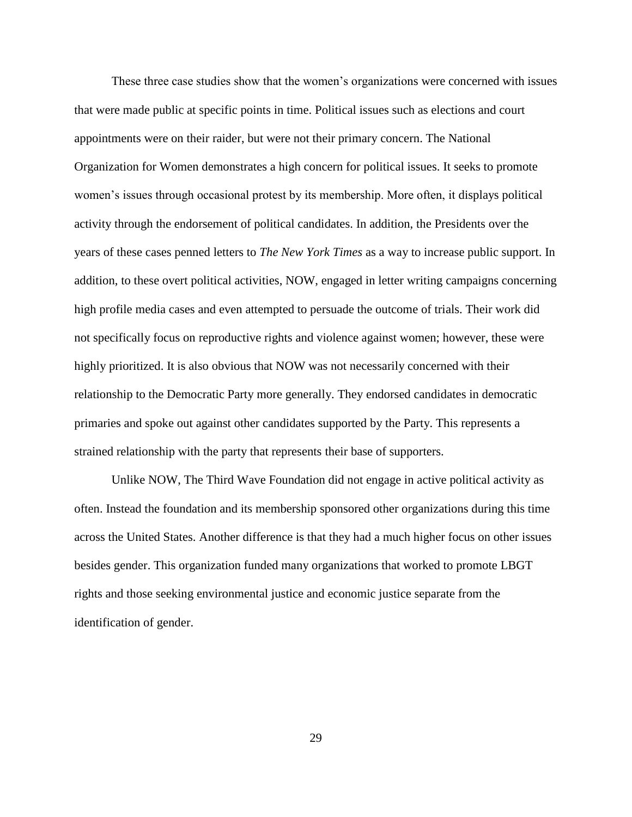These three case studies show that the women's organizations were concerned with issues that were made public at specific points in time. Political issues such as elections and court appointments were on their raider, but were not their primary concern. The National Organization for Women demonstrates a high concern for political issues. It seeks to promote women's issues through occasional protest by its membership. More often, it displays political activity through the endorsement of political candidates. In addition, the Presidents over the years of these cases penned letters to *The New York Times* as a way to increase public support. In addition, to these overt political activities, NOW, engaged in letter writing campaigns concerning high profile media cases and even attempted to persuade the outcome of trials. Their work did not specifically focus on reproductive rights and violence against women; however, these were highly prioritized. It is also obvious that NOW was not necessarily concerned with their relationship to the Democratic Party more generally. They endorsed candidates in democratic primaries and spoke out against other candidates supported by the Party. This represents a strained relationship with the party that represents their base of supporters.

Unlike NOW, The Third Wave Foundation did not engage in active political activity as often. Instead the foundation and its membership sponsored other organizations during this time across the United States. Another difference is that they had a much higher focus on other issues besides gender. This organization funded many organizations that worked to promote LBGT rights and those seeking environmental justice and economic justice separate from the identification of gender.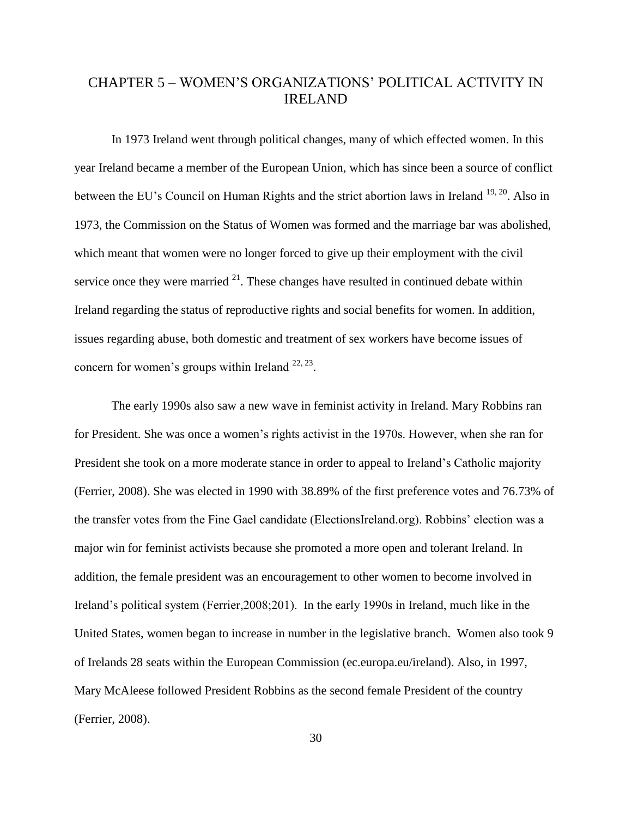## <span id="page-37-0"></span>CHAPTER 5 – WOMEN'S ORGANIZATIONS' POLITICAL ACTIVITY IN IRELAND

In 1973 Ireland went through political changes, many of which effected women. In this year Ireland became a member of the European Union, which has since been a source of conflict between the EU's Council on Human Rights and the strict abortion laws in Ireland <sup>19, 20</sup>. Also in 1973, the Commission on the Status of Women was formed and the marriage bar was abolished, which meant that women were no longer forced to give up their employment with the civil service once they were married  $2<sup>1</sup>$ . These changes have resulted in continued debate within Ireland regarding the status of reproductive rights and social benefits for women. In addition, issues regarding abuse, both domestic and treatment of sex workers have become issues of concern for women's groups within Ireland  $22, 23$ .

The early 1990s also saw a new wave in feminist activity in Ireland. Mary Robbins ran for President. She was once a women's rights activist in the 1970s. However, when she ran for President she took on a more moderate stance in order to appeal to Ireland's Catholic majority (Ferrier, 2008). She was elected in 1990 with 38.89% of the first preference votes and 76.73% of the transfer votes from the Fine Gael candidate (ElectionsIreland.org). Robbins' election was a major win for feminist activists because she promoted a more open and tolerant Ireland. In addition, the female president was an encouragement to other women to become involved in Ireland's political system (Ferrier,2008;201). In the early 1990s in Ireland, much like in the United States, women began to increase in number in the legislative branch. Women also took 9 of Irelands 28 seats within the European Commission (ec.europa.eu/ireland). Also, in 1997, Mary McAleese followed President Robbins as the second female President of the country (Ferrier, 2008).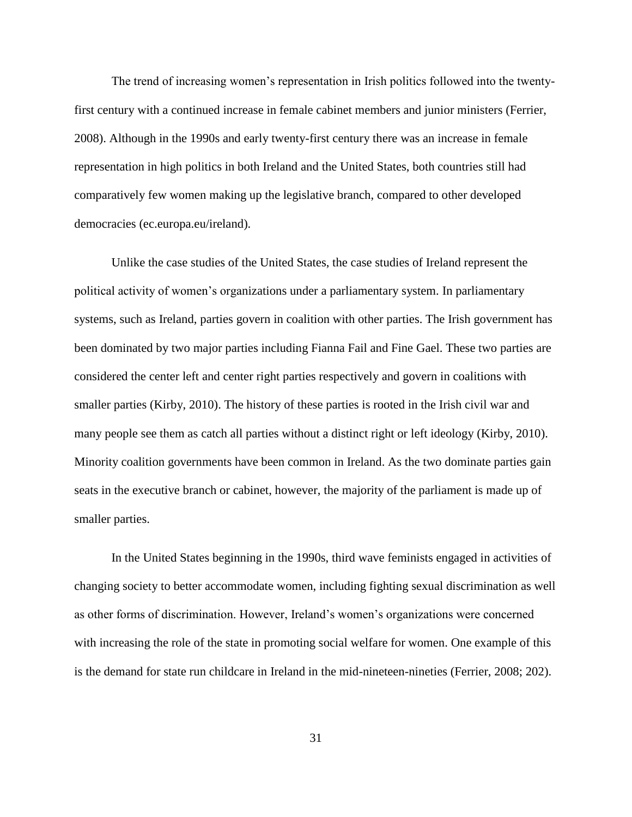The trend of increasing women's representation in Irish politics followed into the twentyfirst century with a continued increase in female cabinet members and junior ministers (Ferrier, 2008). Although in the 1990s and early twenty-first century there was an increase in female representation in high politics in both Ireland and the United States, both countries still had comparatively few women making up the legislative branch, compared to other developed democracies (ec.europa.eu/ireland).

Unlike the case studies of the United States, the case studies of Ireland represent the political activity of women's organizations under a parliamentary system. In parliamentary systems, such as Ireland, parties govern in coalition with other parties. The Irish government has been dominated by two major parties including Fianna Fail and Fine Gael. These two parties are considered the center left and center right parties respectively and govern in coalitions with smaller parties (Kirby, 2010). The history of these parties is rooted in the Irish civil war and many people see them as catch all parties without a distinct right or left ideology (Kirby, 2010). Minority coalition governments have been common in Ireland. As the two dominate parties gain seats in the executive branch or cabinet, however, the majority of the parliament is made up of smaller parties.

In the United States beginning in the 1990s, third wave feminists engaged in activities of changing society to better accommodate women, including fighting sexual discrimination as well as other forms of discrimination. However, Ireland's women's organizations were concerned with increasing the role of the state in promoting social welfare for women. One example of this is the demand for state run childcare in Ireland in the mid-nineteen-nineties (Ferrier, 2008; 202).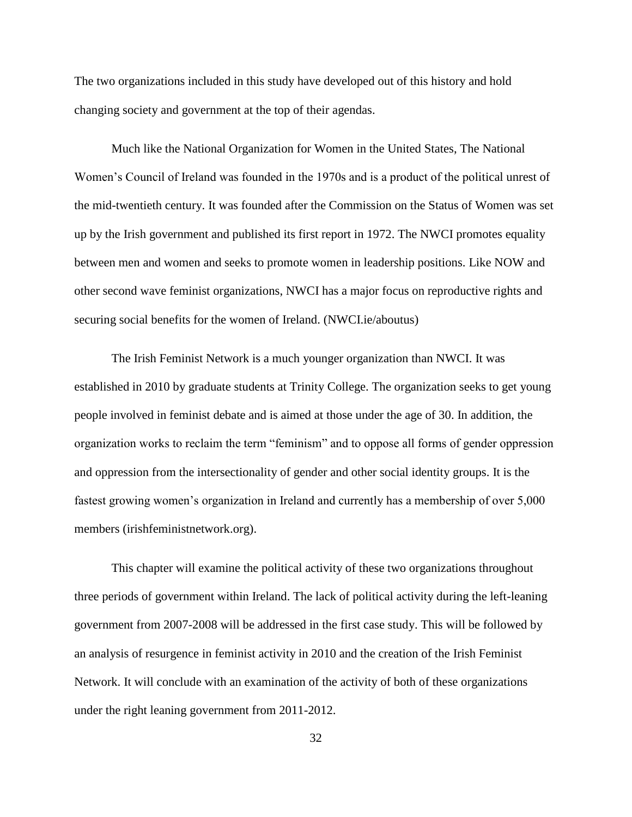The two organizations included in this study have developed out of this history and hold changing society and government at the top of their agendas.

Much like the National Organization for Women in the United States, The National Women's Council of Ireland was founded in the 1970s and is a product of the political unrest of the mid-twentieth century. It was founded after the Commission on the Status of Women was set up by the Irish government and published its first report in 1972. The NWCI promotes equality between men and women and seeks to promote women in leadership positions. Like NOW and other second wave feminist organizations, NWCI has a major focus on reproductive rights and securing social benefits for the women of Ireland. (NWCI.ie/aboutus)

The Irish Feminist Network is a much younger organization than NWCI. It was established in 2010 by graduate students at Trinity College. The organization seeks to get young people involved in feminist debate and is aimed at those under the age of 30. In addition, the organization works to reclaim the term "feminism" and to oppose all forms of gender oppression and oppression from the intersectionality of gender and other social identity groups. It is the fastest growing women's organization in Ireland and currently has a membership of over 5,000 members (irishfeministnetwork.org).

This chapter will examine the political activity of these two organizations throughout three periods of government within Ireland. The lack of political activity during the left-leaning government from 2007-2008 will be addressed in the first case study. This will be followed by an analysis of resurgence in feminist activity in 2010 and the creation of the Irish Feminist Network. It will conclude with an examination of the activity of both of these organizations under the right leaning government from 2011-2012.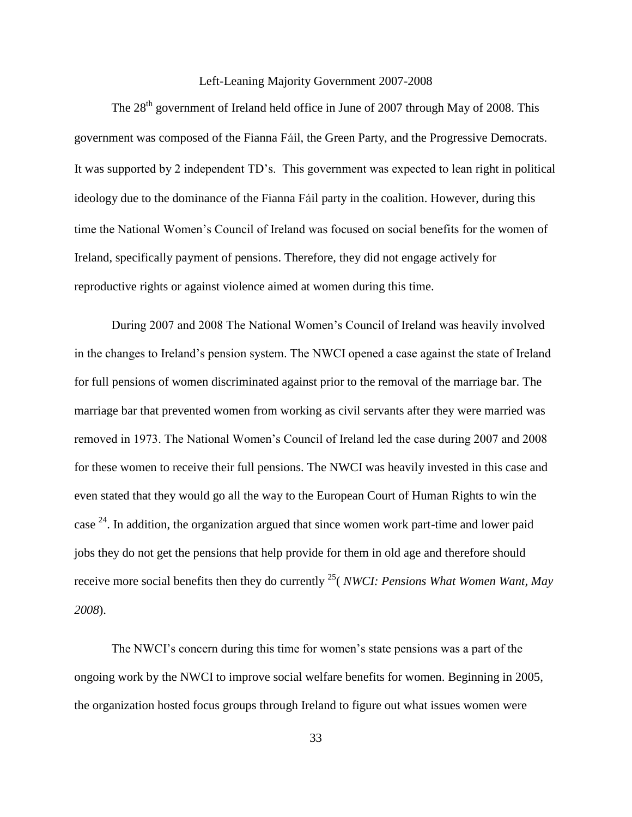#### Left-Leaning Majority Government 2007-2008

<span id="page-40-0"></span>The 28<sup>th</sup> government of Ireland held office in June of 2007 through May of 2008. This government was composed of the Fianna Fáil, the Green Party, and the Progressive Democrats. It was supported by 2 independent TD's. This government was expected to lean right in political ideology due to the dominance of the Fianna Fáil party in the coalition. However, during this time the National Women's Council of Ireland was focused on social benefits for the women of Ireland, specifically payment of pensions. Therefore, they did not engage actively for reproductive rights or against violence aimed at women during this time.

During 2007 and 2008 The National Women's Council of Ireland was heavily involved in the changes to Ireland's pension system. The NWCI opened a case against the state of Ireland for full pensions of women discriminated against prior to the removal of the marriage bar. The marriage bar that prevented women from working as civil servants after they were married was removed in 1973. The National Women's Council of Ireland led the case during 2007 and 2008 for these women to receive their full pensions. The NWCI was heavily invested in this case and even stated that they would go all the way to the European Court of Human Rights to win the case  $24$ . In addition, the organization argued that since women work part-time and lower paid jobs they do not get the pensions that help provide for them in old age and therefore should receive more social benefits then they do currently <sup>25</sup>( *NWCI: Pensions What Women Want, May 2008*).

The NWCI's concern during this time for women's state pensions was a part of the ongoing work by the NWCI to improve social welfare benefits for women. Beginning in 2005, the organization hosted focus groups through Ireland to figure out what issues women were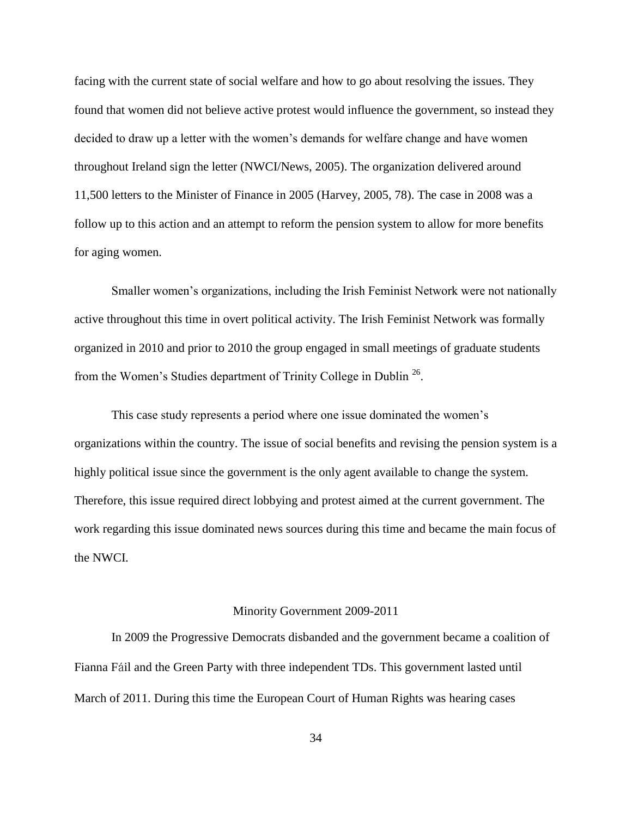facing with the current state of social welfare and how to go about resolving the issues. They found that women did not believe active protest would influence the government, so instead they decided to draw up a letter with the women's demands for welfare change and have women throughout Ireland sign the letter (NWCI/News, 2005). The organization delivered around 11,500 letters to the Minister of Finance in 2005 (Harvey, 2005, 78). The case in 2008 was a follow up to this action and an attempt to reform the pension system to allow for more benefits for aging women.

Smaller women's organizations, including the Irish Feminist Network were not nationally active throughout this time in overt political activity. The Irish Feminist Network was formally organized in 2010 and prior to 2010 the group engaged in small meetings of graduate students from the Women's Studies department of Trinity College in Dublin<sup>26</sup>.

This case study represents a period where one issue dominated the women's organizations within the country. The issue of social benefits and revising the pension system is a highly political issue since the government is the only agent available to change the system. Therefore, this issue required direct lobbying and protest aimed at the current government. The work regarding this issue dominated news sources during this time and became the main focus of the NWCI.

#### Minority Government 2009-2011

<span id="page-41-0"></span>In 2009 the Progressive Democrats disbanded and the government became a coalition of Fianna Fáil and the Green Party with three independent TDs. This government lasted until March of 2011. During this time the European Court of Human Rights was hearing cases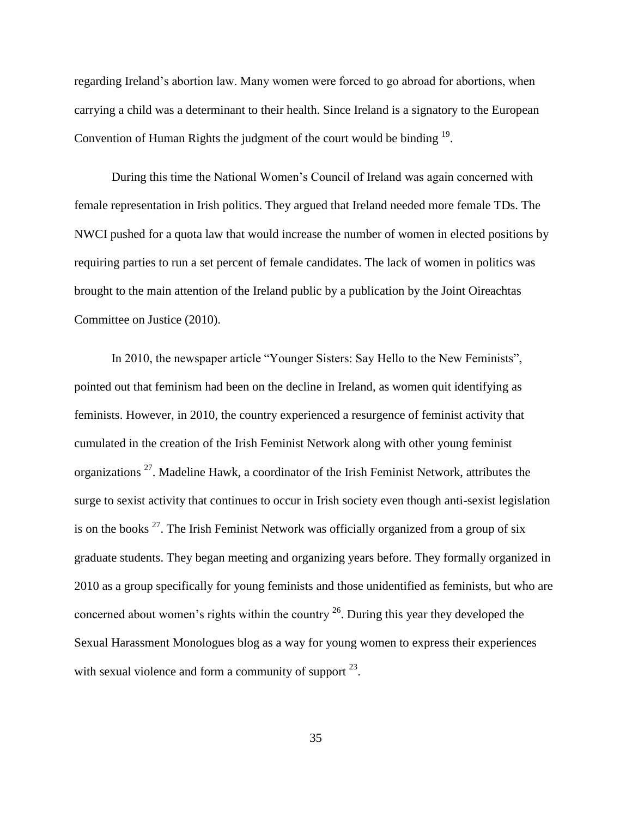regarding Ireland's abortion law. Many women were forced to go abroad for abortions, when carrying a child was a determinant to their health. Since Ireland is a signatory to the European Convention of Human Rights the judgment of the court would be binding  $19$ .

During this time the National Women's Council of Ireland was again concerned with female representation in Irish politics. They argued that Ireland needed more female TDs. The NWCI pushed for a quota law that would increase the number of women in elected positions by requiring parties to run a set percent of female candidates. The lack of women in politics was brought to the main attention of the Ireland public by a publication by the Joint Oireachtas Committee on Justice (2010).

In 2010, the newspaper article "Younger Sisters: Say Hello to the New Feminists", pointed out that feminism had been on the decline in Ireland, as women quit identifying as feminists. However, in 2010, the country experienced a resurgence of feminist activity that cumulated in the creation of the Irish Feminist Network along with other young feminist organizations<sup>27</sup>. Madeline Hawk, a coordinator of the Irish Feminist Network, attributes the surge to sexist activity that continues to occur in Irish society even though anti-sexist legislation is on the books  $^{27}$ . The Irish Feminist Network was officially organized from a group of six graduate students. They began meeting and organizing years before. They formally organized in 2010 as a group specifically for young feminists and those unidentified as feminists, but who are concerned about women's rights within the country  $^{26}$ . During this year they developed the Sexual Harassment Monologues blog as a way for young women to express their experiences with sexual violence and form a community of support  $^{23}$ .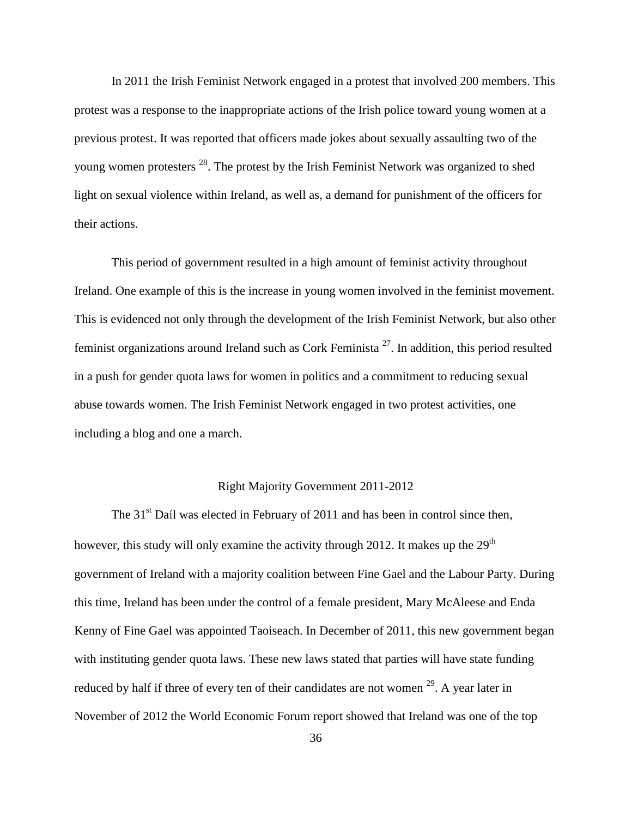In 2011 the Irish Feminist Network engaged in a protest that involved 200 members. This protest was a response to the inappropriate actions of the Irish police toward young women at a previous protest. It was reported that officers made jokes about sexually assaulting two of the young women protesters <sup>28</sup>. The protest by the Irish Feminist Network was organized to shed light on sexual violence within Ireland, as well as, a demand for punishment of the officers for their actions.

This period of government resulted in a high amount of feminist activity throughout Ireland. One example of this is the increase in young women involved in the feminist movement. This is evidenced not only through the development of the Irish Feminist Network, but also other feminist organizations around Ireland such as Cork Feminista<sup>27</sup>. In addition, this period resulted in a push for gender quota laws for women in politics and a commitment to reducing sexual abuse towards women. The Irish Feminist Network engaged in two protest activities, one including a blog and one a march.

#### Right Majority Government 2011-2012

<span id="page-43-0"></span>The  $31<sup>st</sup>$  Daíl was elected in February of 2011 and has been in control since then, however, this study will only examine the activity through 2012. It makes up the 29<sup>th</sup> government of Ireland with a majority coalition between Fine Gael and the Labour Party. During this time, Ireland has been under the control of a female president, Mary McAleese and Enda Kenny of Fine Gael was appointed Taoiseach. In December of 2011, this new government began with instituting gender quota laws. These new laws stated that parties will have state funding reduced by half if three of every ten of their candidates are not women  $29$ . A year later in November of 2012 the World Economic Forum report showed that Ireland was one of the top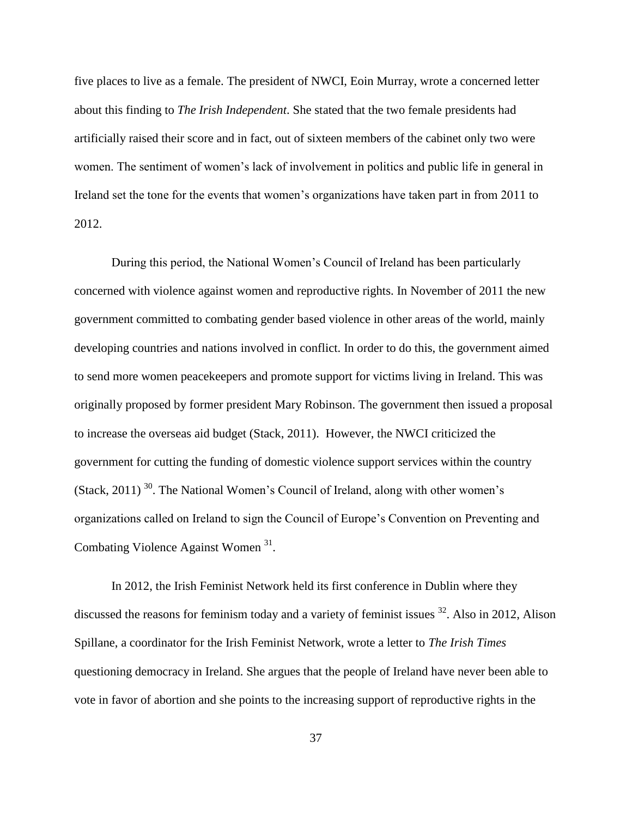five places to live as a female. The president of NWCI, Eoin Murray, wrote a concerned letter about this finding to *The Irish Independent*. She stated that the two female presidents had artificially raised their score and in fact, out of sixteen members of the cabinet only two were women. The sentiment of women's lack of involvement in politics and public life in general in Ireland set the tone for the events that women's organizations have taken part in from 2011 to 2012.

During this period, the National Women's Council of Ireland has been particularly concerned with violence against women and reproductive rights. In November of 2011 the new government committed to combating gender based violence in other areas of the world, mainly developing countries and nations involved in conflict. In order to do this, the government aimed to send more women peacekeepers and promote support for victims living in Ireland. This was originally proposed by former president Mary Robinson. The government then issued a proposal to increase the overseas aid budget (Stack, 2011). However, the NWCI criticized the government for cutting the funding of domestic violence support services within the country (Stack, 2011)<sup>30</sup>. The National Women's Council of Ireland, along with other women's organizations called on Ireland to sign the Council of Europe's Convention on Preventing and Combating Violence Against Women<sup>31</sup>.

In 2012, the Irish Feminist Network held its first conference in Dublin where they discussed the reasons for feminism today and a variety of feminist issues <sup>32</sup>. Also in 2012, Alison Spillane, a coordinator for the Irish Feminist Network, wrote a letter to *The Irish Times* questioning democracy in Ireland. She argues that the people of Ireland have never been able to vote in favor of abortion and she points to the increasing support of reproductive rights in the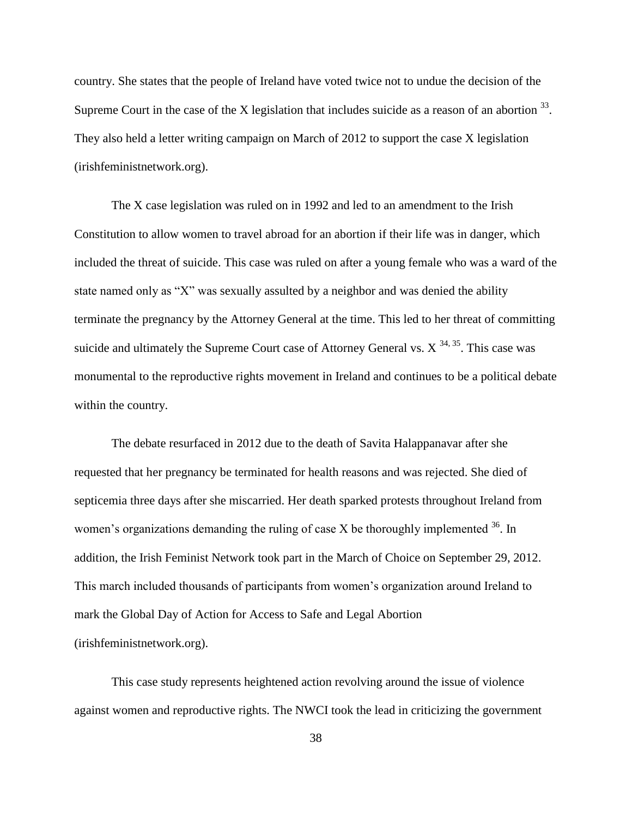country. She states that the people of Ireland have voted twice not to undue the decision of the Supreme Court in the case of the X legislation that includes suicide as a reason of an abortion  $33$ . They also held a letter writing campaign on March of 2012 to support the case X legislation (irishfeministnetwork.org).

The X case legislation was ruled on in 1992 and led to an amendment to the Irish Constitution to allow women to travel abroad for an abortion if their life was in danger, which included the threat of suicide. This case was ruled on after a young female who was a ward of the state named only as "X" was sexually assulted by a neighbor and was denied the ability terminate the pregnancy by the Attorney General at the time. This led to her threat of committing suicide and ultimately the Supreme Court case of Attorney General vs.  $X^{34,35}$ . This case was monumental to the reproductive rights movement in Ireland and continues to be a political debate within the country.

The debate resurfaced in 2012 due to the death of Savita Halappanavar after she requested that her pregnancy be terminated for health reasons and was rejected. She died of septicemia three days after she miscarried. Her death sparked protests throughout Ireland from women's organizations demanding the ruling of case  $X$  be thoroughly implemented  $36$ . In addition, the Irish Feminist Network took part in the March of Choice on September 29, 2012. This march included thousands of participants from women's organization around Ireland to mark the Global Day of Action for Access to Safe and Legal Abortion (irishfeministnetwork.org).

This case study represents heightened action revolving around the issue of violence against women and reproductive rights. The NWCI took the lead in criticizing the government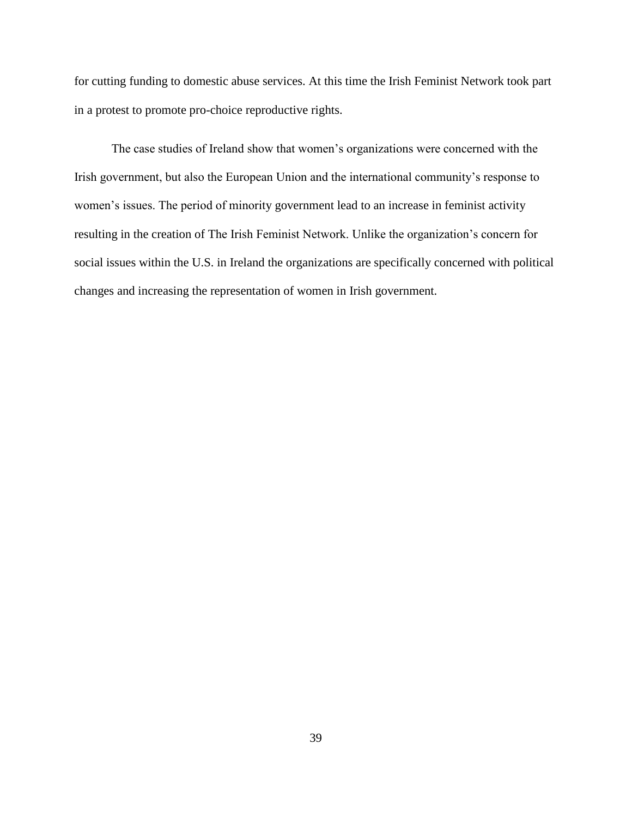for cutting funding to domestic abuse services. At this time the Irish Feminist Network took part in a protest to promote pro-choice reproductive rights.

The case studies of Ireland show that women's organizations were concerned with the Irish government, but also the European Union and the international community's response to women's issues. The period of minority government lead to an increase in feminist activity resulting in the creation of The Irish Feminist Network. Unlike the organization's concern for social issues within the U.S. in Ireland the organizations are specifically concerned with political changes and increasing the representation of women in Irish government.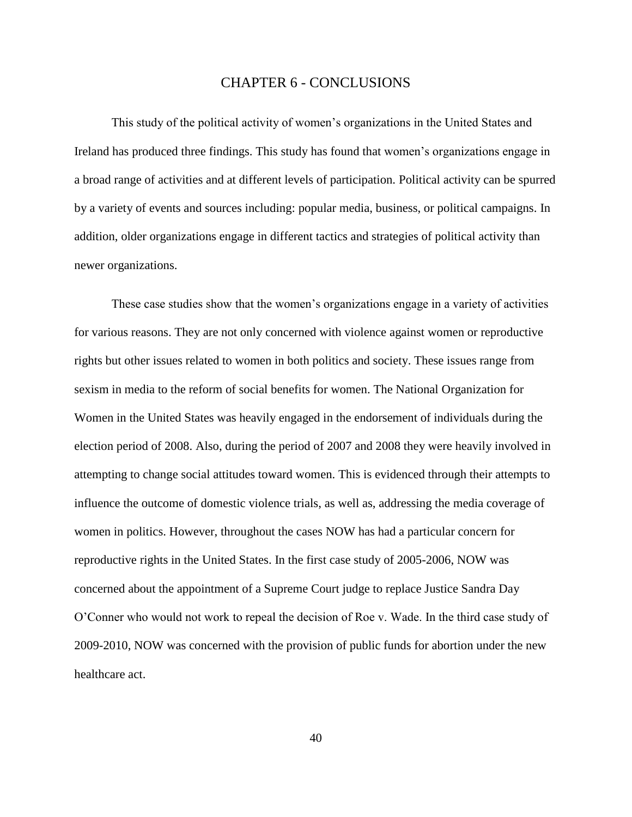## CHAPTER 6 - CONCLUSIONS

<span id="page-47-0"></span>This study of the political activity of women's organizations in the United States and Ireland has produced three findings. This study has found that women's organizations engage in a broad range of activities and at different levels of participation. Political activity can be spurred by a variety of events and sources including: popular media, business, or political campaigns. In addition, older organizations engage in different tactics and strategies of political activity than newer organizations.

These case studies show that the women's organizations engage in a variety of activities for various reasons. They are not only concerned with violence against women or reproductive rights but other issues related to women in both politics and society. These issues range from sexism in media to the reform of social benefits for women. The National Organization for Women in the United States was heavily engaged in the endorsement of individuals during the election period of 2008. Also, during the period of 2007 and 2008 they were heavily involved in attempting to change social attitudes toward women. This is evidenced through their attempts to influence the outcome of domestic violence trials, as well as, addressing the media coverage of women in politics. However, throughout the cases NOW has had a particular concern for reproductive rights in the United States. In the first case study of 2005-2006, NOW was concerned about the appointment of a Supreme Court judge to replace Justice Sandra Day O'Conner who would not work to repeal the decision of Roe v. Wade. In the third case study of 2009-2010, NOW was concerned with the provision of public funds for abortion under the new healthcare act.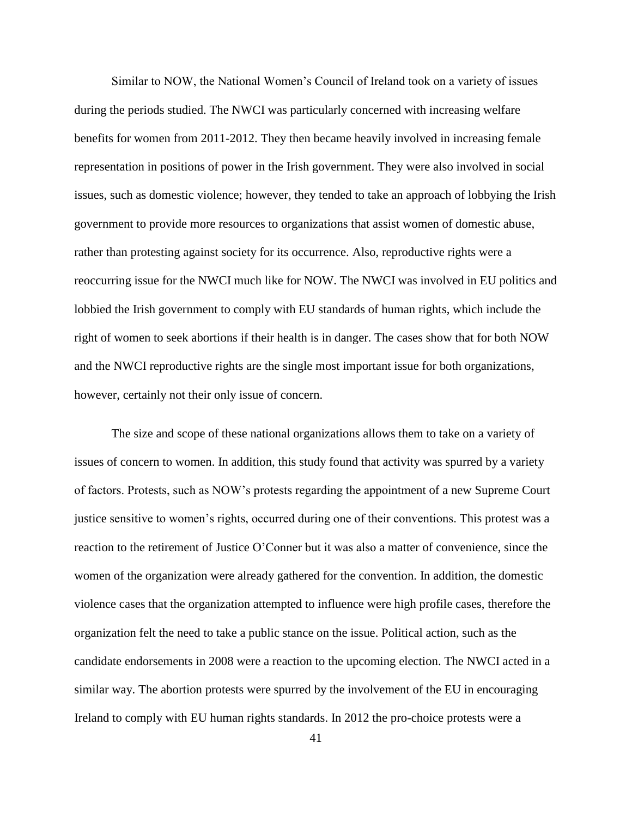Similar to NOW, the National Women's Council of Ireland took on a variety of issues during the periods studied. The NWCI was particularly concerned with increasing welfare benefits for women from 2011-2012. They then became heavily involved in increasing female representation in positions of power in the Irish government. They were also involved in social issues, such as domestic violence; however, they tended to take an approach of lobbying the Irish government to provide more resources to organizations that assist women of domestic abuse, rather than protesting against society for its occurrence. Also, reproductive rights were a reoccurring issue for the NWCI much like for NOW. The NWCI was involved in EU politics and lobbied the Irish government to comply with EU standards of human rights, which include the right of women to seek abortions if their health is in danger. The cases show that for both NOW and the NWCI reproductive rights are the single most important issue for both organizations, however, certainly not their only issue of concern.

The size and scope of these national organizations allows them to take on a variety of issues of concern to women. In addition, this study found that activity was spurred by a variety of factors. Protests, such as NOW's protests regarding the appointment of a new Supreme Court justice sensitive to women's rights, occurred during one of their conventions. This protest was a reaction to the retirement of Justice O'Conner but it was also a matter of convenience, since the women of the organization were already gathered for the convention. In addition, the domestic violence cases that the organization attempted to influence were high profile cases, therefore the organization felt the need to take a public stance on the issue. Political action, such as the candidate endorsements in 2008 were a reaction to the upcoming election. The NWCI acted in a similar way. The abortion protests were spurred by the involvement of the EU in encouraging Ireland to comply with EU human rights standards. In 2012 the pro-choice protests were a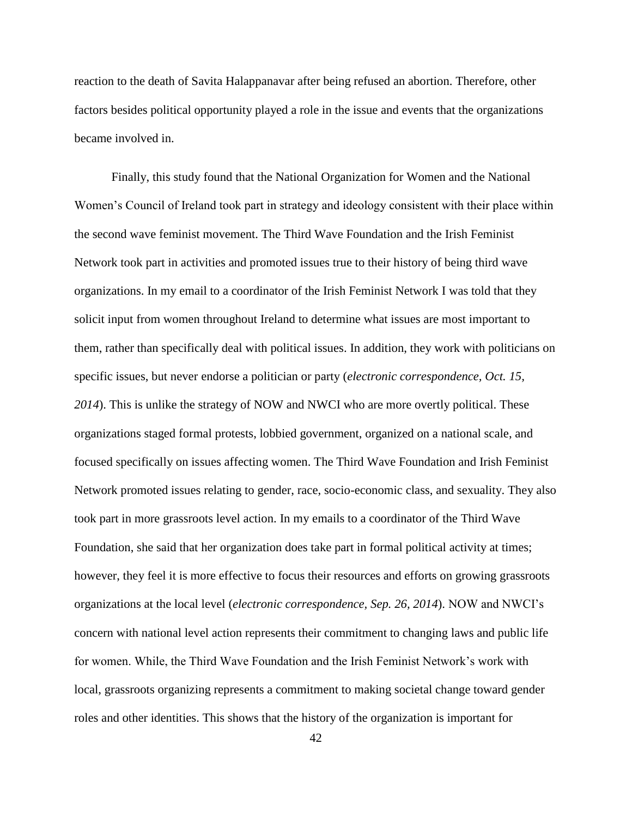reaction to the death of Savita Halappanavar after being refused an abortion. Therefore, other factors besides political opportunity played a role in the issue and events that the organizations became involved in.

Finally, this study found that the National Organization for Women and the National Women's Council of Ireland took part in strategy and ideology consistent with their place within the second wave feminist movement. The Third Wave Foundation and the Irish Feminist Network took part in activities and promoted issues true to their history of being third wave organizations. In my email to a coordinator of the Irish Feminist Network I was told that they solicit input from women throughout Ireland to determine what issues are most important to them, rather than specifically deal with political issues. In addition, they work with politicians on specific issues, but never endorse a politician or party (*electronic correspondence, Oct. 15, 2014*). This is unlike the strategy of NOW and NWCI who are more overtly political. These organizations staged formal protests, lobbied government, organized on a national scale, and focused specifically on issues affecting women. The Third Wave Foundation and Irish Feminist Network promoted issues relating to gender, race, socio-economic class, and sexuality. They also took part in more grassroots level action. In my emails to a coordinator of the Third Wave Foundation, she said that her organization does take part in formal political activity at times; however, they feel it is more effective to focus their resources and efforts on growing grassroots organizations at the local level (*electronic correspondence, Sep. 26, 2014*). NOW and NWCI's concern with national level action represents their commitment to changing laws and public life for women. While, the Third Wave Foundation and the Irish Feminist Network's work with local, grassroots organizing represents a commitment to making societal change toward gender roles and other identities. This shows that the history of the organization is important for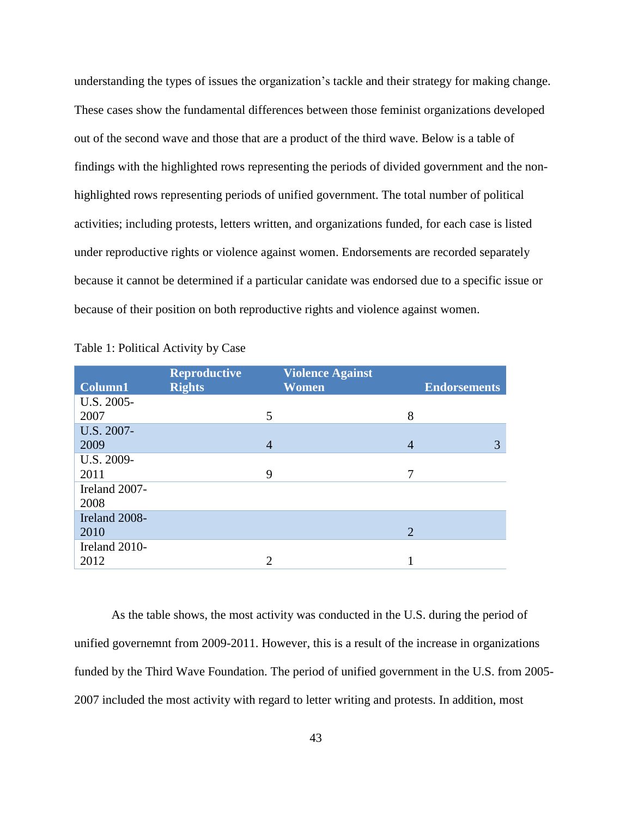understanding the types of issues the organization's tackle and their strategy for making change. These cases show the fundamental differences between those feminist organizations developed out of the second wave and those that are a product of the third wave. Below is a table of findings with the highlighted rows representing the periods of divided government and the nonhighlighted rows representing periods of unified government. The total number of political activities; including protests, letters written, and organizations funded, for each case is listed under reproductive rights or violence against women. Endorsements are recorded separately because it cannot be determined if a particular canidate was endorsed due to a specific issue or because of their position on both reproductive rights and violence against women.

|               | <b>Reproductive</b> | <b>Violence Against</b>     |                |                     |
|---------------|---------------------|-----------------------------|----------------|---------------------|
| Column1       | <b>Rights</b>       | Women                       |                | <b>Endorsements</b> |
| U.S. 2005-    |                     |                             |                |                     |
| 2007          |                     | 5                           | 8              |                     |
| U.S. 2007-    |                     |                             |                |                     |
| 2009          |                     | $\overline{4}$              | 4              | 3                   |
| U.S. 2009-    |                     |                             |                |                     |
| 2011          |                     | 9                           | 7              |                     |
| Ireland 2007- |                     |                             |                |                     |
| 2008          |                     |                             |                |                     |
| Ireland 2008- |                     |                             |                |                     |
| 2010          |                     |                             | $\overline{2}$ |                     |
| Ireland 2010- |                     |                             |                |                     |
| 2012          |                     | $\mathcal{D}_{\mathcal{L}}$ |                |                     |

<span id="page-50-0"></span>

|  | Table 1: Political Activity by Case |  |  |  |
|--|-------------------------------------|--|--|--|
|--|-------------------------------------|--|--|--|

As the table shows, the most activity was conducted in the U.S. during the period of unified governemnt from 2009-2011. However, this is a result of the increase in organizations funded by the Third Wave Foundation. The period of unified government in the U.S. from 2005- 2007 included the most activity with regard to letter writing and protests. In addition, most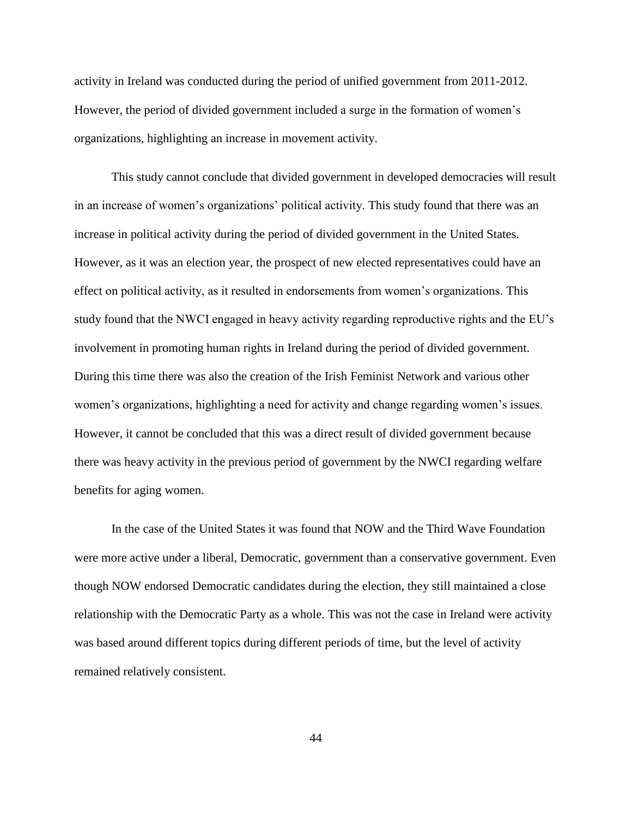activity in Ireland was conducted during the period of unified government from 2011-2012. However, the period of divided government included a surge in the formation of women's organizations, highlighting an increase in movement activity.

This study cannot conclude that divided government in developed democracies will result in an increase of women's organizations' political activity. This study found that there was an increase in political activity during the period of divided government in the United States. However, as it was an election year, the prospect of new elected representatives could have an effect on political activity, as it resulted in endorsements from women's organizations. This study found that the NWCI engaged in heavy activity regarding reproductive rights and the EU's involvement in promoting human rights in Ireland during the period of divided government. During this time there was also the creation of the Irish Feminist Network and various other women's organizations, highlighting a need for activity and change regarding women's issues. However, it cannot be concluded that this was a direct result of divided government because there was heavy activity in the previous period of government by the NWCI regarding welfare benefits for aging women.

In the case of the United States it was found that NOW and the Third Wave Foundation were more active under a liberal, Democratic, government than a conservative government. Even though NOW endorsed Democratic candidates during the election, they still maintained a close relationship with the Democratic Party as a whole. This was not the case in Ireland were activity was based around different topics during different periods of time, but the level of activity remained relatively consistent.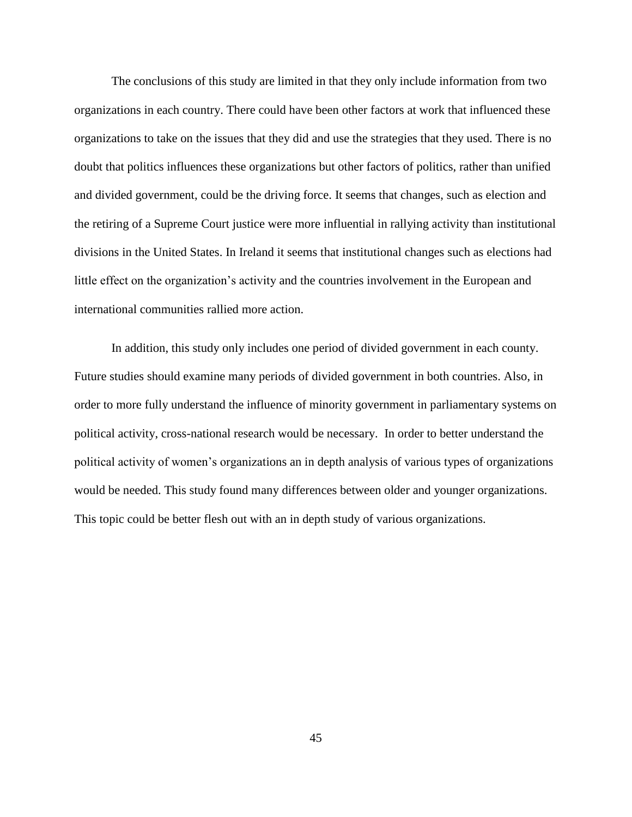The conclusions of this study are limited in that they only include information from two organizations in each country. There could have been other factors at work that influenced these organizations to take on the issues that they did and use the strategies that they used. There is no doubt that politics influences these organizations but other factors of politics, rather than unified and divided government, could be the driving force. It seems that changes, such as election and the retiring of a Supreme Court justice were more influential in rallying activity than institutional divisions in the United States. In Ireland it seems that institutional changes such as elections had little effect on the organization's activity and the countries involvement in the European and international communities rallied more action.

In addition, this study only includes one period of divided government in each county. Future studies should examine many periods of divided government in both countries. Also, in order to more fully understand the influence of minority government in parliamentary systems on political activity, cross-national research would be necessary. In order to better understand the political activity of women's organizations an in depth analysis of various types of organizations would be needed. This study found many differences between older and younger organizations. This topic could be better flesh out with an in depth study of various organizations.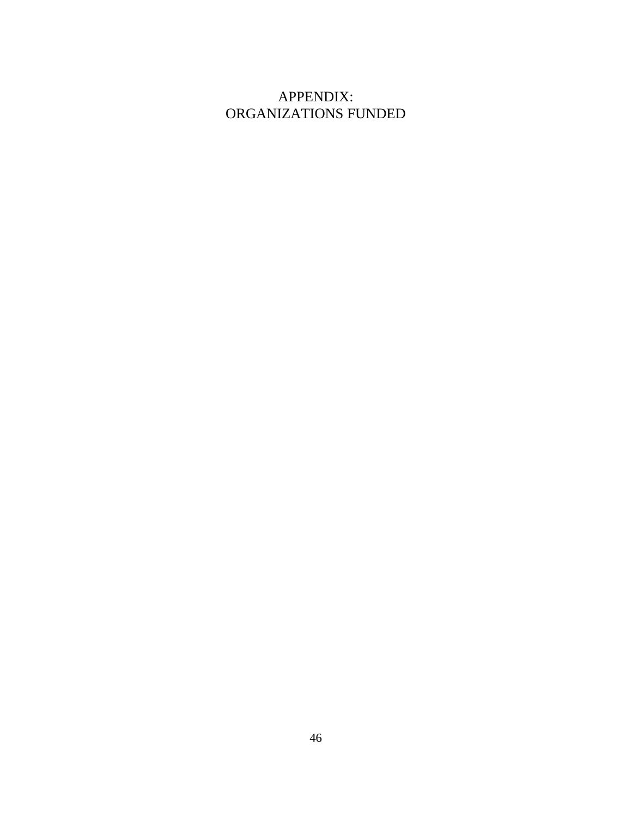## <span id="page-53-0"></span>APPENDIX: ORGANIZATIONS FUNDED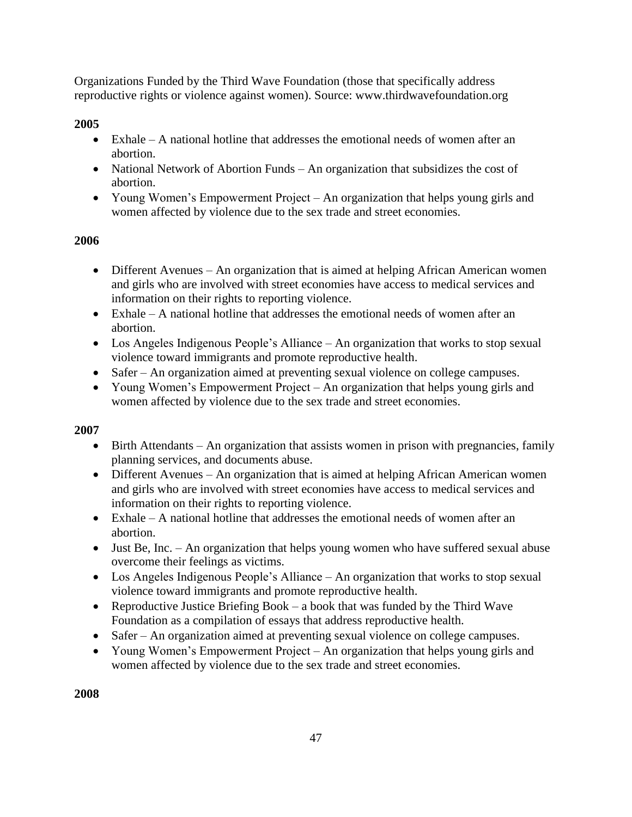Organizations Funded by the Third Wave Foundation (those that specifically address reproductive rights or violence against women). Source: www.thirdwavefoundation.org

## **2005**

- $\bullet$  Exhale A national hotline that addresses the emotional needs of women after an abortion.
- National Network of Abortion Funds An organization that subsidizes the cost of abortion.
- Young Women's Empowerment Project An organization that helps young girls and women affected by violence due to the sex trade and street economies.

## **2006**

- Different Avenues An organization that is aimed at helping African American women and girls who are involved with street economies have access to medical services and information on their rights to reporting violence.
- Exhale A national hotline that addresses the emotional needs of women after an abortion.
- Los Angeles Indigenous People's Alliance An organization that works to stop sexual violence toward immigrants and promote reproductive health.
- Safer An organization aimed at preventing sexual violence on college campuses.
- Young Women's Empowerment Project An organization that helps young girls and women affected by violence due to the sex trade and street economies.

## **2007**

- Birth Attendants An organization that assists women in prison with pregnancies, family planning services, and documents abuse.
- Different Avenues An organization that is aimed at helping African American women and girls who are involved with street economies have access to medical services and information on their rights to reporting violence.
- Exhale A national hotline that addresses the emotional needs of women after an abortion.
- Just Be, Inc. An organization that helps young women who have suffered sexual abuse overcome their feelings as victims.
- Los Angeles Indigenous People's Alliance An organization that works to stop sexual violence toward immigrants and promote reproductive health.
- Reproductive Justice Briefing Book a book that was funded by the Third Wave Foundation as a compilation of essays that address reproductive health.
- Safer An organization aimed at preventing sexual violence on college campuses.
- Young Women's Empowerment Project An organization that helps young girls and women affected by violence due to the sex trade and street economies.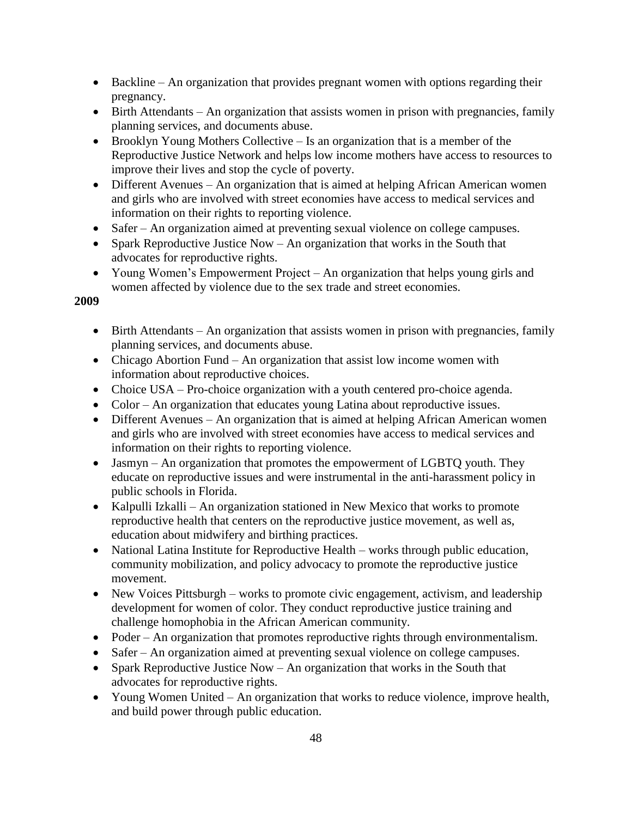- Backline An organization that provides pregnant women with options regarding their pregnancy.
- Birth Attendants An organization that assists women in prison with pregnancies, family planning services, and documents abuse.
- Brooklyn Young Mothers Collective Is an organization that is a member of the Reproductive Justice Network and helps low income mothers have access to resources to improve their lives and stop the cycle of poverty.
- Different Avenues An organization that is aimed at helping African American women and girls who are involved with street economies have access to medical services and information on their rights to reporting violence.
- Safer An organization aimed at preventing sexual violence on college campuses.
- Spark Reproductive Justice Now An organization that works in the South that advocates for reproductive rights.
- Young Women's Empowerment Project An organization that helps young girls and women affected by violence due to the sex trade and street economies.

- Birth Attendants An organization that assists women in prison with pregnancies, family planning services, and documents abuse.
- Chicago Abortion Fund An organization that assist low income women with information about reproductive choices.
- Choice USA Pro-choice organization with a youth centered pro-choice agenda.
- Color An organization that educates young Latina about reproductive issues.
- Different Avenues An organization that is aimed at helping African American women and girls who are involved with street economies have access to medical services and information on their rights to reporting violence.
- Jasmyn An organization that promotes the empowerment of LGBTQ youth. They educate on reproductive issues and were instrumental in the anti-harassment policy in public schools in Florida.
- Kalpulli Izkalli An organization stationed in New Mexico that works to promote reproductive health that centers on the reproductive justice movement, as well as, education about midwifery and birthing practices.
- National Latina Institute for Reproductive Health works through public education, community mobilization, and policy advocacy to promote the reproductive justice movement.
- New Voices Pittsburgh works to promote civic engagement, activism, and leadership development for women of color. They conduct reproductive justice training and challenge homophobia in the African American community.
- Poder An organization that promotes reproductive rights through environmentalism.
- Safer An organization aimed at preventing sexual violence on college campuses.
- Spark Reproductive Justice Now An organization that works in the South that advocates for reproductive rights.
- Young Women United An organization that works to reduce violence, improve health, and build power through public education.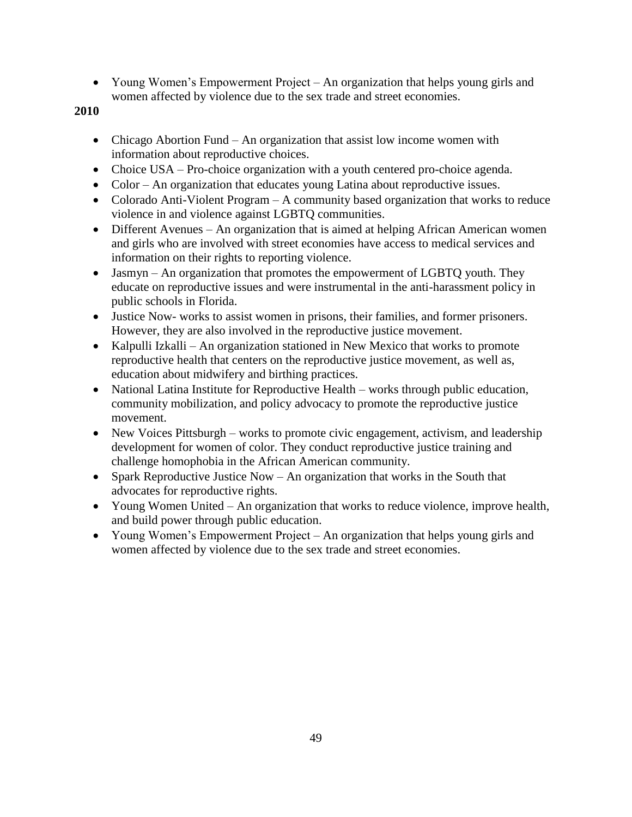Young Women's Empowerment Project – An organization that helps young girls and women affected by violence due to the sex trade and street economies.

- Chicago Abortion Fund An organization that assist low income women with information about reproductive choices.
- Choice USA Pro-choice organization with a youth centered pro-choice agenda.
- Color An organization that educates young Latina about reproductive issues.
- Colorado Anti-Violent Program A community based organization that works to reduce violence in and violence against LGBTQ communities.
- Different Avenues An organization that is aimed at helping African American women and girls who are involved with street economies have access to medical services and information on their rights to reporting violence.
- Jasmyn An organization that promotes the empowerment of LGBTQ youth. They educate on reproductive issues and were instrumental in the anti-harassment policy in public schools in Florida.
- Justice Now- works to assist women in prisons, their families, and former prisoners. However, they are also involved in the reproductive justice movement.
- Kalpulli Izkalli An organization stationed in New Mexico that works to promote reproductive health that centers on the reproductive justice movement, as well as, education about midwifery and birthing practices.
- National Latina Institute for Reproductive Health works through public education, community mobilization, and policy advocacy to promote the reproductive justice movement.
- New Voices Pittsburgh works to promote civic engagement, activism, and leadership development for women of color. They conduct reproductive justice training and challenge homophobia in the African American community.
- Spark Reproductive Justice Now An organization that works in the South that advocates for reproductive rights.
- Young Women United An organization that works to reduce violence, improve health, and build power through public education.
- Young Women's Empowerment Project An organization that helps young girls and women affected by violence due to the sex trade and street economies.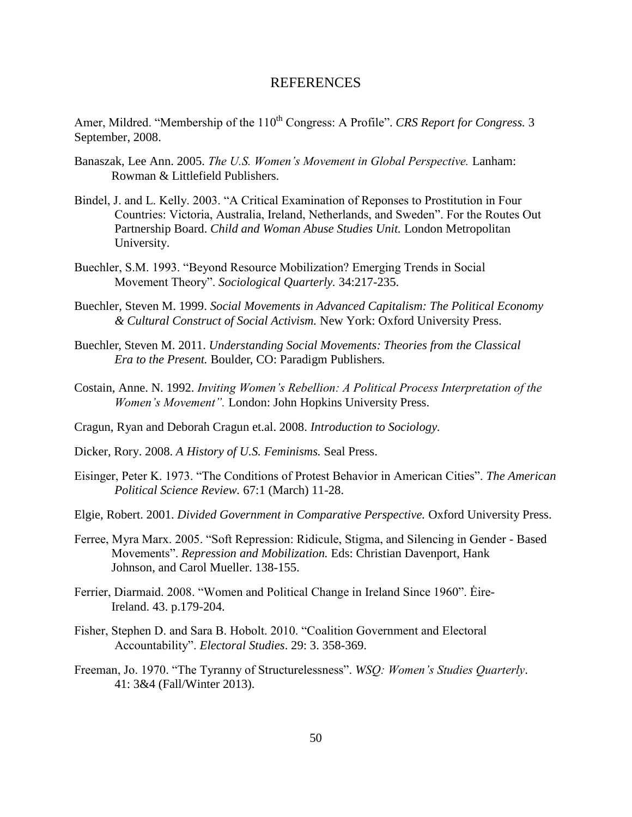## REFERENCES

<span id="page-57-0"></span>Amer, Mildred. "Membership of the 110<sup>th</sup> Congress: A Profile". *CRS Report for Congress.* 3 September, 2008.

- Banaszak, Lee Ann. 2005. *The U.S. Women's Movement in Global Perspective.* Lanham: Rowman & Littlefield Publishers.
- Bindel, J. and L. Kelly. 2003. "A Critical Examination of Reponses to Prostitution in Four Countries: Victoria, Australia, Ireland, Netherlands, and Sweden". For the Routes Out Partnership Board. *Child and Woman Abuse Studies Unit.* London Metropolitan University.
- Buechler, S.M. 1993. "Beyond Resource Mobilization? Emerging Trends in Social Movement Theory". *Sociological Quarterly.* 34:217-235.
- Buechler, Steven M. 1999. *Social Movements in Advanced Capitalism: The Political Economy & Cultural Construct of Social Activism.* New York: Oxford University Press.
- Buechler, Steven M. 2011. *Understanding Social Movements: Theories from the Classical Era to the Present.* Boulder, CO: Paradigm Publishers*.*
- Costain, Anne. N. 1992. *Inviting Women's Rebellion: A Political Process Interpretation of the Women's Movement".* London: John Hopkins University Press.
- Cragun, Ryan and Deborah Cragun et.al. 2008. *Introduction to Sociology.*
- Dicker, Rory. 2008. *A History of U.S. Feminisms.* Seal Press.
- Eisinger, Peter K. 1973. "The Conditions of Protest Behavior in American Cities". *The American Political Science Review.* 67:1 (March) 11-28.
- Elgie, Robert. 2001. *Divided Government in Comparative Perspective.* Oxford University Press.
- Ferree, Myra Marx. 2005. "Soft Repression: Ridicule, Stigma, and Silencing in Gender Based Movements". *Repression and Mobilization.* Eds: Christian Davenport, Hank Johnson, and Carol Mueller. 138-155.
- Ferrier, Diarmaid. 2008. "Women and Political Change in Ireland Since 1960". Ėire-Ireland. 43. p.179-204.
- Fisher, Stephen D. and Sara B. Hobolt. 2010. "Coalition Government and Electoral Accountability". *Electoral Studies*. 29: 3. 358-369.
- Freeman, Jo. 1970. "The Tyranny of Structurelessness". *WSQ: Women's Studies Quarterly*. 41: 3&4 (Fall/Winter 2013).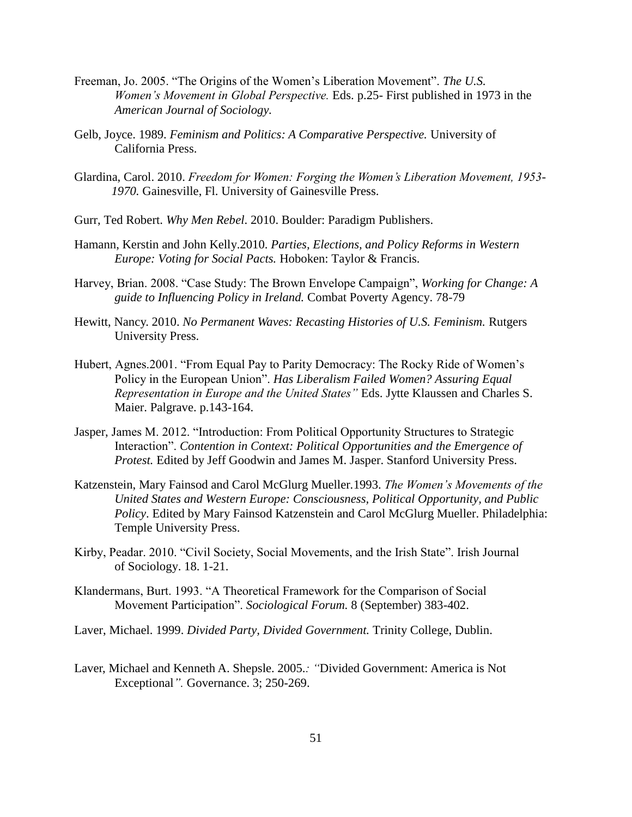- Freeman, Jo. 2005. "The Origins of the Women's Liberation Movement". *The U.S. Women's Movement in Global Perspective.* Eds. p.25- First published in 1973 in the *American Journal of Sociology.*
- Gelb, Joyce. 1989. *Feminism and Politics: A Comparative Perspective.* University of California Press.
- Glardina, Carol. 2010. *Freedom for Women: Forging the Women's Liberation Movement, 1953- 1970.* Gainesville, Fl. University of Gainesville Press.
- Gurr, Ted Robert. *Why Men Rebel*. 2010. Boulder: Paradigm Publishers.
- Hamann, Kerstin and John Kelly.2010. *Parties, Elections, and Policy Reforms in Western Europe: Voting for Social Pacts.* Hoboken: Taylor & Francis.
- Harvey, Brian. 2008. "Case Study: The Brown Envelope Campaign", *Working for Change: A guide to Influencing Policy in Ireland.* Combat Poverty Agency. 78-79
- Hewitt, Nancy. 2010. *No Permanent Waves: Recasting Histories of U.S. Feminism.* Rutgers University Press.
- Hubert, Agnes.2001. "From Equal Pay to Parity Democracy: The Rocky Ride of Women's Policy in the European Union". *Has Liberalism Failed Women? Assuring Equal Representation in Europe and the United States"* Eds. Jytte Klaussen and Charles S. Maier. Palgrave. p.143-164.
- Jasper, James M. 2012. "Introduction: From Political Opportunity Structures to Strategic Interaction". *Contention in Context: Political Opportunities and the Emergence of Protest.* Edited by Jeff Goodwin and James M. Jasper. Stanford University Press.
- Katzenstein, Mary Fainsod and Carol McGlurg Mueller*.*1993. *The Women's Movements of the United States and Western Europe: Consciousness, Political Opportunity, and Public Policy*. Edited by Mary Fainsod Katzenstein and Carol McGlurg Mueller. Philadelphia: Temple University Press.
- Kirby, Peadar. 2010. "Civil Society, Social Movements, and the Irish State". Irish Journal of Sociology. 18. 1-21.
- Klandermans, Burt. 1993. "A Theoretical Framework for the Comparison of Social Movement Participation". *Sociological Forum.* 8 (September) 383-402.
- Laver, Michael. 1999. *Divided Party, Divided Government.* Trinity College, Dublin.
- Laver, Michael and Kenneth A. Shepsle. 2005.*: "*Divided Government: America is Not Exceptional*".* Governance. 3; 250-269.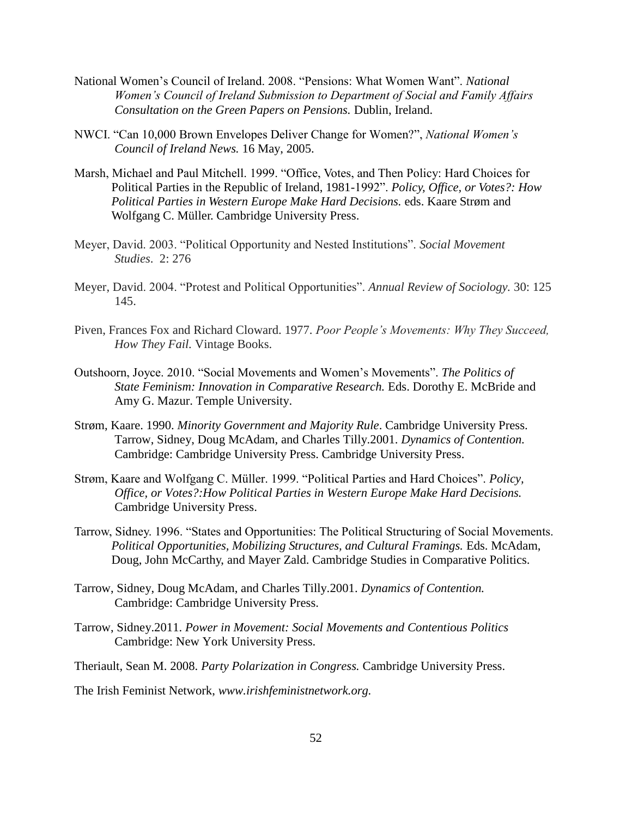- National Women's Council of Ireland. 2008. "Pensions: What Women Want". *National Women's Council of Ireland Submission to Department of Social and Family Affairs Consultation on the Green Papers on Pensions.* Dublin, Ireland.
- NWCI. "Can 10,000 Brown Envelopes Deliver Change for Women?", *National Women's Council of Ireland News.* 16 May, 2005.
- Marsh, Michael and Paul Mitchell. 1999. "Office, Votes, and Then Policy: Hard Choices for Political Parties in the Republic of Ireland, 1981-1992". *Policy, Office, or Votes?: How Political Parties in Western Europe Make Hard Decisions.* eds. Kaare Strøm and Wolfgang C. Müller. Cambridge University Press.
- Meyer, David. 2003. "Political Opportunity and Nested Institutions". *Social Movement Studies*. 2: 276
- Meyer, David. 2004. "Protest and Political Opportunities". *Annual Review of Sociology.* 30: 125 145.
- Piven, Frances Fox and Richard Cloward. 1977. *Poor People's Movements: Why They Succeed, How They Fail.* Vintage Books.
- Outshoorn, Joyce. 2010. "Social Movements and Women's Movements". *The Politics of State Feminism: Innovation in Comparative Research.* Eds. Dorothy E. McBride and Amy G. Mazur. Temple University.
- Strøm, Kaare. 1990. *Minority Government and Majority Rule*. Cambridge University Press. Tarrow, Sidney, Doug McAdam, and Charles Tilly.2001. *Dynamics of Contention.* Cambridge: Cambridge University Press. Cambridge University Press.
- Strøm, Kaare and Wolfgang C. Müller. 1999. "Political Parties and Hard Choices". *Policy, Office, or Votes?:How Political Parties in Western Europe Make Hard Decisions.* Cambridge University Press.
- Tarrow, Sidney. 1996. "States and Opportunities: The Political Structuring of Social Movements. *Political Opportunities, Mobilizing Structures, and Cultural Framings.* Eds. McAdam, Doug, John McCarthy, and Mayer Zald. Cambridge Studies in Comparative Politics.
- Tarrow, Sidney, Doug McAdam, and Charles Tilly.2001. *Dynamics of Contention.* Cambridge: Cambridge University Press.
- Tarrow, Sidney.2011. *Power in Movement: Social Movements and Contentious Politics* Cambridge: New York University Press.
- Theriault, Sean M. 2008. *Party Polarization in Congress.* Cambridge University Press.

The Irish Feminist Network, *www.irishfeministnetwork.org.*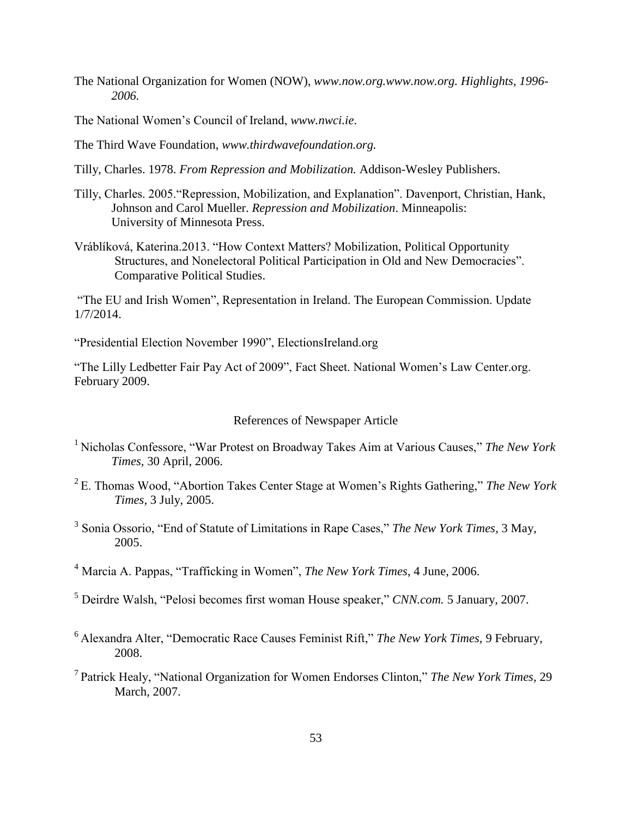- The National Organization for Women (NOW), *www.now.org.www.now.org. Highlights, 1996- 2006.*
- The National Women's Council of Ireland, *www.nwci.ie*.
- The Third Wave Foundation, *www.thirdwavefoundation.org.*
- Tilly, Charles. 1978. *From Repression and Mobilization.* Addison-Wesley Publishers.
- Tilly, Charles. 2005."Repression, Mobilization, and Explanation". Davenport, Christian, Hank, Johnson and Carol Mueller. *Repression and Mobilization*. Minneapolis: University of Minnesota Press.
- Vráblíková, Katerina.2013. "How Context Matters? Mobilization, Political Opportunity Structures, and Nonelectoral Political Participation in Old and New Democracies". Comparative Political Studies.

"The EU and Irish Women", Representation in Ireland. The European Commission. Update 1/7/2014.

"Presidential Election November 1990", ElectionsIreland.org

<span id="page-60-0"></span>"The Lilly Ledbetter Fair Pay Act of 2009", Fact Sheet. National Women's Law Center.org. February 2009.

## References of Newspaper Article

- <sup>1</sup> Nicholas Confessore, "War Protest on Broadway Takes Aim at Various Causes," The New York *Times,* 30 April, 2006.
- <sup>2</sup>E. Thomas Wood, "Abortion Takes Center Stage at Women's Rights Gathering," *The New York Times,* 3 July, 2005.
- 3 Sonia Ossorio, "End of Statute of Limitations in Rape Cases," *The New York Times*, 3 May, 2005.
- <sup>4</sup> Marcia A. Pappas, "Trafficking in Women", *The New York Times*, 4 June, 2006.
- <sup>5</sup> Deirdre Walsh, "Pelosi becomes first woman House speaker," *CNN.com.* 5 January, 2007.
- <sup>6</sup>Alexandra Alter, "Democratic Race Causes Feminist Rift," *The New York Times,* 9 February, 2008.
- <sup>7</sup>Patrick Healy, "National Organization for Women Endorses Clinton," *The New York Times,* 29 March, 2007.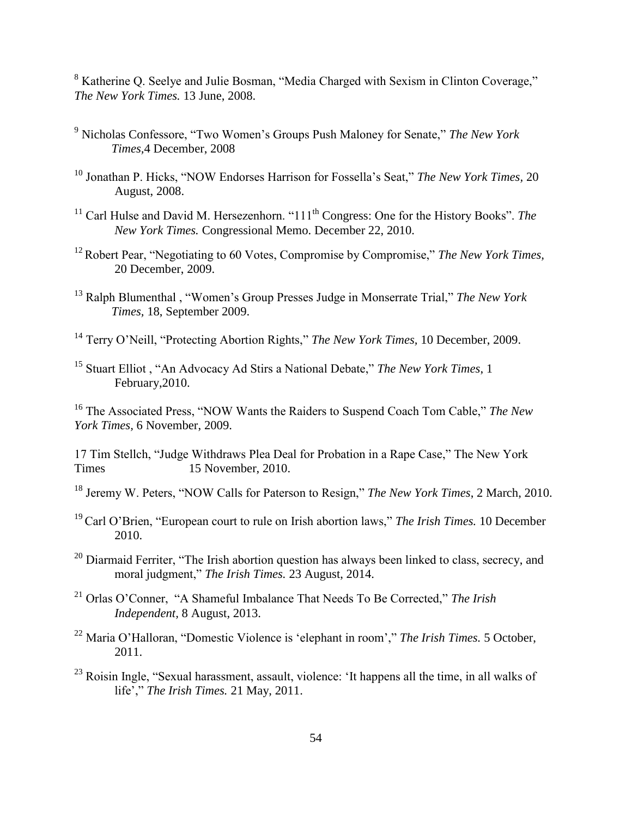<sup>8</sup> Katherine Q. Seelye and Julie Bosman, "Media Charged with Sexism in Clinton Coverage," *The New York Times.* 13 June, 2008.

- <sup>9</sup> Nicholas Confessore, "Two Women's Groups Push Maloney for Senate," *The New York Times,*4 December, 2008
- <sup>10</sup> Jonathan P. Hicks, "NOW Endorses Harrison for Fossella's Seat," *The New York Times,* 20 August, 2008.
- <sup>11</sup> Carl Hulse and David M. Hersezenhorn. "111<sup>th</sup> Congress: One for the History Books". *The New York Times.* Congressional Memo. December 22, 2010.
- <sup>12</sup> Robert Pear, "Negotiating to 60 Votes, Compromise by Compromise," *The New York Times*, 20 December, 2009.
- <sup>13</sup> Ralph Blumenthal , "Women's Group Presses Judge in Monserrate Trial," *The New York Times,* 18, September 2009.
- <sup>14</sup> Terry O'Neill, "Protecting Abortion Rights," *The New York Times,* 10 December, 2009.
- <sup>15</sup> Stuart Elliot , "An Advocacy Ad Stirs a National Debate," *The New York Times*, 1 February,2010.

<sup>16</sup> The Associated Press, "NOW Wants the Raiders to Suspend Coach Tom Cable," *The New York Times,* 6 November, 2009.

17 Tim Stellch, "Judge Withdraws Plea Deal for Probation in a Rape Case," The New York Times 15 November, 2010.

<sup>18</sup> Jeremy W. Peters, "NOW Calls for Paterson to Resign," *The New York Times*, 2 March, 2010.

- <sup>19</sup>Carl O'Brien, "European court to rule on Irish abortion laws," *The Irish Times.* 10 December 2010.
- <sup>20</sup> Diarmaid Ferriter, "The Irish abortion question has always been linked to class, secrecy, and moral judgment," *The Irish Times.* 23 August, 2014.
- <sup>21</sup> Orlas O'Conner, "A Shameful Imbalance That Needs To Be Corrected," *The Irish Independent,* 8 August, 2013.
- <sup>22</sup> Maria O'Halloran, "Domestic Violence is 'elephant in room'," *The Irish Times.* 5 October, 2011.
- <sup>23</sup> Roisin Ingle, "Sexual harassment, assault, violence: 'It happens all the time, in all walks of life'," *The Irish Times.* 21 May, 2011.